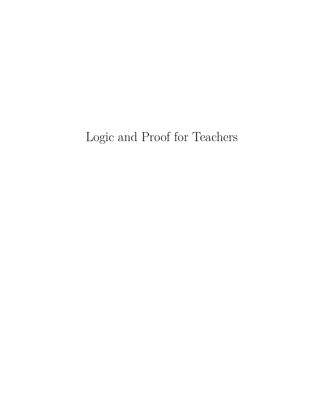# Logic and Proof for Teachers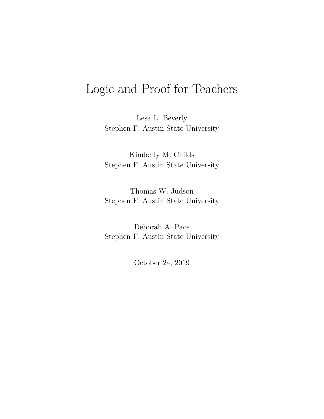# Logic and Proof for Teachers

Lesa L. Beverly Stephen F. Austin State University

Kimberly M. Childs Stephen F. Austin State University

Thomas W. Judson Stephen F. Austin State University

Deborah A. Pace Stephen F. Austin State University

October 24, 2019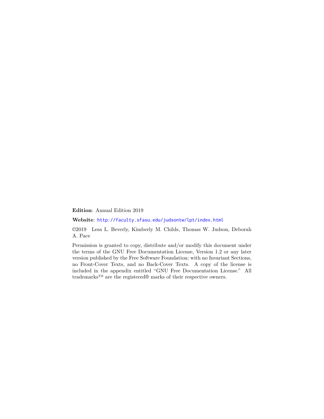**Edition**: Annual Edition 2019

**Website**: [http://faculty.sfasu.edu/judsontw/lpt/index.html](http:/\penalty \exhyphenpenalty {}/\penalty \exhyphenpenalty {}faculty.sfasu.edu/\penalty \exhyphenpenalty {}judsontw/\penalty \exhyphenpenalty {}lpt/\penalty \exhyphenpenalty {}index.html)

©2019 Lesa L. Beverly, Kimberly M. Childs, Thomas W. Judson, Deborah A. Pace

Permission is granted to copy, distribute and/or modify this document under the terms of the GNU Free Documentation License, Version 1.2 or any later version published by the Free Software Foundation; with no Invariant Sections, no Front-Cover Texts, and no Back-Cover Texts. A copy of the license is included in the appendix entitled "GNU Free Documentation License." All trademarks™ are the registered® marks of their respective owners.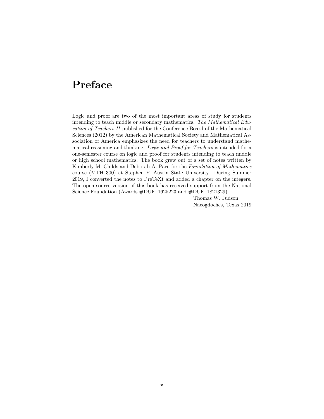## <span id="page-4-0"></span>**Preface**

Logic and proof are two of the most important areas of study for students intending to teach middle or secondary mathematics. *The Mathematical Education of Teachers II* published for the Conference Board of the Mathematical Sciences (2012) by the American Mathematical Society and Mathematical Association of America emphasizes the need for teachers to understand mathematical reasoning and thinking. *Logic and Proof for Teachers* is intended for a one-semester course on logic and proof for students intending to teach middle or high school mathematics. The book grew out of a set of notes written by Kimberly M. Childs and Deborah A. Pace for the *Foundation of Mathematics* course (MTH 300) at Stephen F. Austin State University. During Summer 2019, I converted the notes to PreTeXt and added a chapter on the integers. The open source version of this book has received support from the National Science Foundation (Awards #DUE–1625223 and #DUE–1821329).

> Thomas W. Judson Nacogdoches, Texas 2019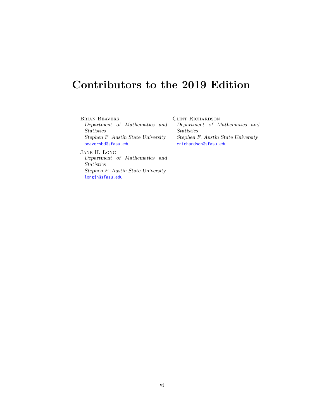## <span id="page-5-0"></span>**Contributors to the 2019 Edition**

Brian Beavers Department of Mathematics and Statistics Stephen F. Austin State University [beaversbd@sfasu.edu](mailto:beaversbd@sfasu.edu)

Jane H. Long Department of Mathematics and Statistics Stephen F. Austin State University [longjh@sfasu.edu](mailto:longjh@sfasu.edu)

Clint Richardson Department of Mathematics and Statistics Stephen F. Austin State University [crichardson@sfasu.edu](mailto:crichardson@sfasu.edu)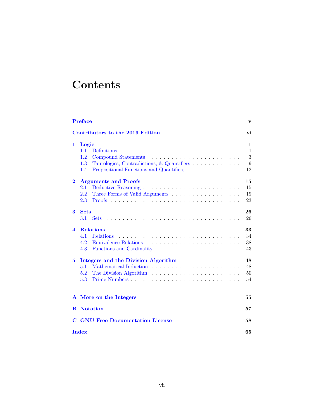# **Contents**

|                         | <b>Preface</b>                                                                      | v            |
|-------------------------|-------------------------------------------------------------------------------------|--------------|
|                         | Contributors to the 2019 Edition                                                    | vi           |
| 1                       | Logic                                                                               | $\mathbf{1}$ |
|                         | 1.1                                                                                 | $\mathbf{1}$ |
|                         | 1.2                                                                                 | 3            |
|                         | $1.3\,$<br>Tautologies, Contradictions, & Quantifiers $\ldots \ldots \ldots \ldots$ | 9            |
|                         | Propositional Functions and Quantifiers<br>1.4                                      | 12           |
| $\bf{2}$                | <b>Arguments and Proofs</b>                                                         | 15           |
|                         | 2.1                                                                                 | 15           |
|                         | $2.2\,$                                                                             | 19           |
|                         | 2.3                                                                                 | 23           |
| 3                       | <b>Sets</b>                                                                         | 26           |
|                         | 3.1                                                                                 | 26           |
| $\overline{\mathbf{4}}$ | <b>Relations</b>                                                                    | 33           |
|                         | 4.1<br><b>Relations</b>                                                             | 34           |
|                         | 4.2                                                                                 | 38           |
|                         | 4.3<br>Functions and Cardinality                                                    | 43           |
| 5                       | Integers and the Division Algorithm                                                 | 48           |
|                         | 5.1                                                                                 | 48           |
|                         | 5.2                                                                                 | 50           |
|                         | 5.3                                                                                 | 54           |
|                         | A More on the Integers                                                              | 55           |
| B                       | <b>Notation</b>                                                                     | 57           |
| C                       | <b>GNU Free Documentation License</b>                                               | 58           |
|                         | <b>Index</b>                                                                        | 65           |
|                         |                                                                                     |              |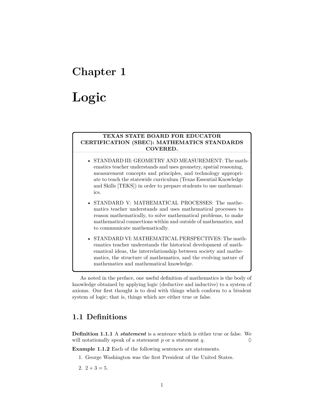## <span id="page-7-0"></span>**Chapter 1**

# **Logic**

#### **TEXAS STATE BOARD FOR EDUCATOR CERTIFICATION (SBEC): MATHEMATICS STANDARDS COVERED.**

- STANDARD III: GEOMETRY AND MEASUREMENT: The mathematics teacher understands and uses geometry, spatial reasoning, measurement concepts and principles, and technology appropriate to teach the statewide curriculum (Texas Essential Knowledge and Skills [TEKS]) in order to prepare students to use mathematics.
- STANDARD V: MATHEMATICAL PROCESSES: The mathematics teacher understands and uses mathematical processes to reason mathematically, to solve mathematical problems, to make mathematical connections within and outside of mathematics, and to communicate mathematically.
- STANDARD VI: MATHEMATICAL PERSPECTIVES: The mathematics teacher understands the historical development of mathematical ideas, the interrelationship between society and mathematics, the structure of mathematics, and the evolving nature of mathematics and mathematical knowledge.

As noted in the preface, one useful definition of mathematics is the body of knowledge obtained by applying logic (deductive and inductive) to a system of axioms. Our first thought is to deal with things which conform to a bivalent system of logic; that is, things which are either true or false.

## <span id="page-7-1"></span>**1.1 Definitions**

**Definition 1.1.1** A *statement* is a sentence which is either true or false. We will notationally speak of a statement  $p$  or a statement  $q$ .

<span id="page-7-2"></span>**Example 1.1.2** Each of the following sentences are statements.

1. George Washington was the first President of the United States.

2.  $2 + 3 = 5$ .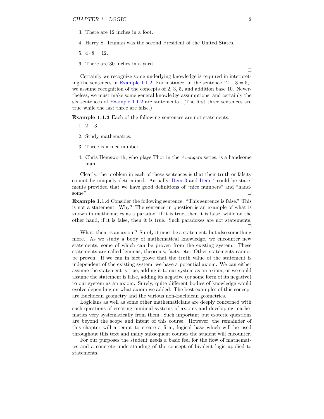- 3. There are 12 inches in a foot.
- 4. Harry S. Truman was the second President of the United States.
- 5.  $4 \cdot 8 = 12$ .
- 6. There are 30 inches in a yard.

Certainly we recognize some underlying knowledge is required in interpret-ing the sentences in [Example](#page-7-2) [1.1.2.](#page-7-2) For instance, in the sentence " $2 + 3 = 5$ ," we assume recognition of the concepts of 2, 3, 5, and addition base 10. Nevertheless, we must make some general knowledge assumptions, and certainly the six sentences of [Example](#page-7-2) [1.1.2](#page-7-2) are statements. (The first three sentences are true while the last three are false.)

**Example 1.1.3** Each of the following sentences are not statements.

- 1.  $2 + 3$
- 2. Study mathematics.
- <span id="page-8-0"></span>3. Three is a nice number.
- <span id="page-8-1"></span>4. Chris Hemsworth, who plays Thor in the *Avengers* series, is a handsome man.

Clearly, the problem in each of these sentences is that their truth or falsity cannot be uniquely determined. Actually, [Item 3](#page-8-0) and [Item 4](#page-8-1) could be statements provided that we have good definitions of "nice numbers" and "handsome".  $\Box$ 

**Example 1.1.4** Consider the following sentence. "This sentence is false." This is not a statement. Why? The sentence in question is an example of what is known in mathematics as a paradox. If it is true, then it is false, while on the other hand, if it is false, then it is true. Such paradoxes are not statements.  $\Box$ 

What, then, is an axiom? Surely it must be a statement, but also something more. As we study a body of mathematical knowledge, we encounter new statements, some of which can be proven from the existing system. These statements are called lemmas, theorems, facts, etc. Other statements cannot be proven. If we can in fact prove that the truth value of the statement is independent of the existing system, we have a potential axiom. We can either assume the statement is true, adding it to our system as an axiom, or we could assume the statement is false, adding its negative (or some form of its negative) to our system as an axiom. Surely, quite different bodies of knowledge would evolve depending on what axiom we added. The best examples of this concept are Euclidean geometry and the various non-Euclidean geometries.

Logicians as well as some other mathematicians are deeply concerned with such questions of creating minimal systems of axioms and developing mathematics very systematically from them. Such important but esoteric questions are beyond the scope and intent of this course. However, the remainder of this chapter will attempt to create a firm, logical base which will be used throughout this text and many subsequent courses the student will encounter.

For our purposes the student needs a basic feel for the flow of mathematics and a concrete understanding of the concept of bivalent logic applied to statements.

 $\Box$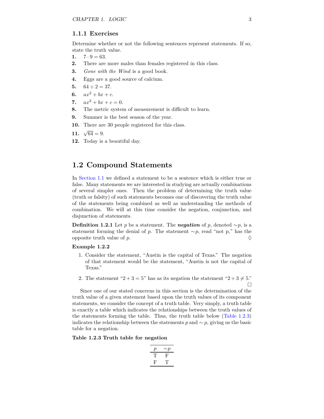#### **1.1.1 Exercises**

Determine whether or not the following sentences represent statements. If so, state the truth value.

- 1.  $7 \cdot 9 = 63$ .
- **2.** There are more males than females registered in this class.
- **3.** *Gone with the Wind* is a good book.
- **4.** Eggs are a good source of calcium.
- 5.  $64 \div 2 = 37$ .
- **6.**  $ax^2 + bx + c$ .
- **7.**  $ax^2 + bx + c = 0.$
- **8.** The metric system of measurement is difficult to learn.
- **9.** Summer is the best season of the year.
- **10.** There are 30 people registered for this class.
- **11.**  $\sqrt{64} = 9$ .
- **12.** Today is a beautiful day.

## <span id="page-9-0"></span>**1.2 Compound Statements**

In [Section](#page-7-1) [1.1](#page-7-1) we defined a statement to be a sentence which is either true or false. Many statements we are interested in studying are actually combinations of several simpler ones. Then the problem of determining the truth value (truth or falsity) of such statements becomes one of discovering the truth value of the statements being combined as well as understanding the methods of combination. We will at this time consider the negation, conjunction, and disjunction of statements.

**Definition 1.2.1** Let *p* be a statement. The *negation* of *p*, denoted ∼*p*, is a statement forming the denial of *p*. The statement ∼*p*, read "not p," has the opposite truth value of *p*.  $\Diamond$ 

#### **Example 1.2.2**

- 1. Consider the statement, "Austin is the capital of Texas." The negation of that statement would be the statement, "Austin is not the capital of Texas."
- 2. The statement "2 + 3 = 5" has as its negation the statement "2 + 3  $\neq$  5."

 $\Box$ 

Since one of our stated concerns in this section is the determination of the truth value of a given statement based upon the truth values of its component statements, we consider the concept of a truth table. Very simply, a truth table is exactly a table which indicates the relationships between the truth values of the statements forming the table. Thus, the truth table below [\(Table](#page-9-1) [1.2.3\)](#page-9-1) indicates the relationship between the statements  $p$  and  $\sim p$ , giving us the basic table for a negation.

#### <span id="page-9-1"></span>**Table 1.2.3 Truth table for negation**

| P  | $\mathord{\sim} v$ |
|----|--------------------|
| г  | н.                 |
| H, | י ו                |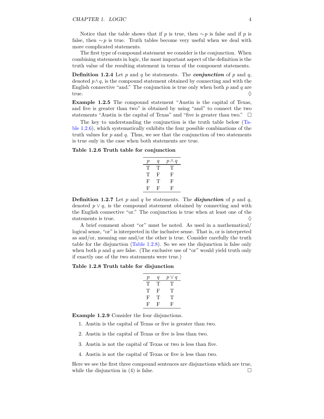Notice that the table shows that if *p* is true, then  $\sim p$  is false and if *p* is false, then ∼*p* is true. Truth tables become very useful when we deal with more complicated statements.

The first type of compound statement we consider is the conjunction. When combining statements in logic, the most important aspect of the definition is the truth value of the resulting statement in terms of the component statements.

**Definition 1.2.4** Let *p* and *q* be statements. The *conjunction* of *p* and *q*, denoted  $p \wedge q$ , is the compound statement obtained by connecting and with the English connective "and." The conjunction is true only when both *p* and *q* are true.  $\Diamond$ 

**Example 1.2.5** The compound statement "Austin is the capital of Texas, and five is greater than two" is obtained by using "and" to connect the two statements "Austin is the capital of Texas" and "five is greater than two."  $\Box$ 

The key to understanding the conjunction is the truth table below [\(Ta](#page-10-0)ble [1.2.6\)](#page-10-0), which systematically exhibits the four possible combinations of the truth values for *p* and *q*. Thus, we see that the conjunction of two statements is true only in the case when both statements are true.

#### <span id="page-10-0"></span>**Table 1.2.6 Truth table for conjunction**

| р  | q  | $p \wedge q$ |
|----|----|--------------|
| Т  | Т  | Τ            |
| ΊP | F  | F            |
| F  | Т  | F            |
| Ь, | Ь, | Ъ,           |

**Definition 1.2.7** Let *p* and *q* be statements. The *disjunction* of *p* and *q*, denoted  $p \vee q$ , is the compound statement obtained by connecting and with the English connective "or." The conjunction is true when at least one of the statements is true.  $\Diamond$ 

A brief comment about "or" must be noted. As used in a mathematical/ logical sense, "or" is interpreted in the inclusive sense. That is, or is interpreted as and/or, meaning one and/or the other is true. Consider carefully the truth table for the disjunction [\(Table](#page-10-1) [1.2.8\)](#page-10-1). So we see the disjunction is false only when both *p* and *q* are false. (The exclusive use of "or" would yield truth only if exactly one of the two statements were true.)

#### <span id="page-10-1"></span>**Table 1.2.8 Truth table for disjunction**

| р | q | $p \vee q$ |
|---|---|------------|
| Т | Т | Т          |
| Т | F | Т          |
| F | Т | Τ          |
| F | F | н,         |

**Example 1.2.9** Consider the four disjunctions.

- 1. Austin is the capital of Texas or five is greater than two.
- 2. Austin is the capital of Texas or five is less than two.
- 3. Austin is not the capital of Texas or two is less than five.
- 4. Austin is not the capital of Texas or five is less than two.

Here we see the first three compound sentences are disjunctions which are true, while the disjunction in (4) is false.  $\square$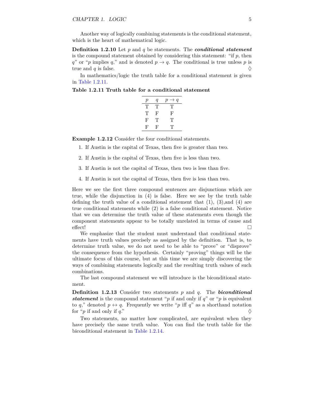Another way of logically combining statements is the conditional statement, which is the heart of mathematical logic.

**Definition 1.2.10** Let *p* and *q* be statements. The *conditional statement* is the compound statement obtained by considering this statement: "if *p*, then *q*" or "*p* implies *q*," and is denoted  $p \rightarrow q$ . The conditional is true unless *p* is true and  $q$  is false.  $\Diamond$ 

In mathematics/logic the truth table for a conditional statement is given in Table [1.2.11.](#page-11-0)

<span id="page-11-0"></span>**Table 1.2.11 Truth table for a conditional statement**

| р | q | $\rightarrow q$<br>$\boldsymbol{p}$ |
|---|---|-------------------------------------|
| Т | Т | Τ                                   |
| Т | F | F                                   |
| F | Т | Т                                   |
| F | F | Т                                   |
|   |   |                                     |

**Example 1.2.12** Consider the four conditional statements.

1. If Austin is the capital of Texas, then five is greater than two.

- 2. If Austin is the capital of Texas, then five is less than two.
- 3. If Austin is not the capital of Texas, then two is less than five.
- 4. If Austin is not the capital of Texas, then five is less than two.

Here we see the first three compound sentences are disjunctions which are true, while the disjunction in (4) is false. Here we see by the truth table defining the truth value of a conditional statement that  $(1)$ ,  $(3)$ , and  $(4)$  are true conditional statements while (2) is a false conditional statement. Notice that we can determine the truth value of these statements even though the component statements appear to be totally unrelated in terms of cause and effect!

We emphasize that the student must understand that conditional statements have truth values precisely as assigned by the definition. That is, to determine truth value, we do not need to be able to "prove" or "disprove" the consequence from the hypothesis. Certainly "proving" things will be the ultimate focus of this course, but at this time we are simply discovering the ways of combining statements logically and the resulting truth values of such combinations.

The last compound statement we will introduce is the biconditional statement.

**Definition 1.2.13** Consider two statements *p* and *q*. The *biconditional statement* is the compound statement "*p* if and only if *q*" or "*p* is equivalent to *q*," denoted  $p \leftrightarrow q$ . Frequently we write "*p* iff *q*" as a shorthand notation for "*p* if and only if *q*."

Two statements, no matter how complicated, are equivalent when they have precisely the same truth value. You can find the truth table for the biconditional statement in Table [1.2.14.](#page-12-0)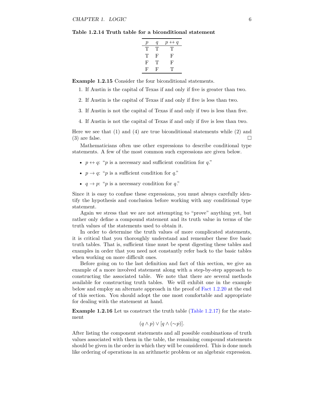<span id="page-12-0"></span>**Table 1.2.14 Truth table for a biconditional statement**

| р | q  | $p \leftrightarrow q$ |
|---|----|-----------------------|
| Т | Τ  | T,                    |
| Т | F  | F                     |
| F | 'Г | F                     |
| F | F  | T'                    |

**Example 1.2.15** Consider the four biconditional statements.

1. If Austin is the capital of Texas if and only if five is greater than two.

2. If Austin is the capital of Texas if and only if five is less than two.

3. If Austin is not the capital of Texas if and only if two is less than five.

4. If Austin is not the capital of Texas if and only if five is less than two.

Here we see that  $(1)$  and  $(4)$  are true biconditional statements while  $(2)$  and (3) are false.

Mathematicians often use other expressions to describe conditional type statements. A few of the most common such expressions are given below.

- $p \leftrightarrow q$ : "*p* is a necessary and sufficient condition for *q*."
- $p \rightarrow q$ : "*p* is a sufficient condition for *q*."
- $q \rightarrow p$ : "*p* is a necessary condition for *q*."

Since it is easy to confuse these expressions, you must always carefully identify the hypothesis and conclusion before working with any conditional type statement.

Again we stress that we are not attempting to "prove" anything yet, but rather only define a compound statement and its truth value in terms of the truth values of the statements used to obtain it.

In order to determine the truth values of more complicated statements, it is critical that you thoroughly understand and remember these five basic truth tables. That is, sufficient time must be spent digesting these tables and examples in order that you need not constantly refer back to the basic tables when working on more difficult ones.

Before going on to the last definition and fact of this section, we give an example of a more involved statement along with a step-by-step approach to constructing the associated table. We note that there are several methods available for constructing truth tables. We will exhibit one in the example below and employ an alternate approach in the proof of Fact [1.2.20](#page-13-0) at the end of this section. You should adopt the one most comfortable and appropriate for dealing with the statement at hand.

**Example 1.2.16** Let us construct the truth table (Table [1.2.17\)](#page-13-1) for the statement

 $(q \wedge p) \vee [q \wedge (\sim p)].$ 

After listing the component statements and all possible combinations of truth values associated with them in the table, the remaining compound statements should be given in the order in which they will be considered. This is done much like ordering of operations in an arithmetic problem or an algebraic expression.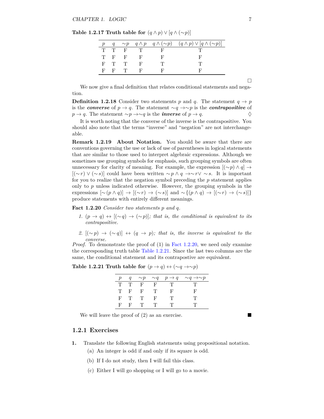<span id="page-13-1"></span>**Table 1.2.17 Truth table for**  $(q \land p) \lor (q \land (\sim p))$ 

|     |       |         |              |      | $q \sim p \quad q \wedge p \quad q \wedge (\sim p) \quad (q \wedge p) \vee [q \wedge (\sim p)]$ |
|-----|-------|---------|--------------|------|-------------------------------------------------------------------------------------------------|
|     |       | T T F T |              | ਾ ਦਿ |                                                                                                 |
|     |       | T F F   | $\mathbf{F}$ | . Н. |                                                                                                 |
|     | F T T |         | $\mathbf{F}$ |      |                                                                                                 |
| - ਜ | $F$ T |         | - F -        |      |                                                                                                 |

We now give a final definition that relates conditional statements and negation.

**Definition 1.2.18** Consider two statements *p* and *q*. The statement  $q \rightarrow p$ is the *converse* of  $p \to q$ . The statement ∼*q* →∼*p* is the *contrapositive* of *p* → *q*. The statement ∼*p* →∼*q* is the *inverse* of *p* → *q*. ♦

It is worth noting that the converse of the inverse is the contrapositive. You should also note that the terms "inverse" and "negation" are not interchangeable.

**Remark 1.2.19 About Notation.** You should be aware that there are conventions governing the use or lack of use of parentheses in logical statements that are similar to those used to interpret algebraic expressions. Although we sometimes use grouping symbols for emphasis, such grouping symbols are often unnecessary for clarity of meaning. For example, the expression  $[(\sim p) \land q] \rightarrow$ [(∼*r*) ∨ (∼*s*)] could have been written ∼*p* ∧ *q* →∼ *r*∨ ∼ *s*. It is important for you to realize that the negation symbol preceding the *p* statement applies only to *p* unless indicated otherwise. However, the grouping symbols in the expressions  $[\sim (p \land q)] \rightarrow [(\sim r) \rightarrow (\sim s)]$  and  $\sim \{(p \land q) \rightarrow [(\sim r) \rightarrow (\sim s)]\}$ produce statements with entirely different meanings.

<span id="page-13-0"></span>**Fact 1.2.20** *Consider two statements p and q.*

- *1.*  $(p \rightarrow q) \leftrightarrow [(\sim q) \rightarrow (\sim p)]$ ; that is, the conditional is equivalent to its *contrapositive.*
- *2.*  $[(\sim p) \rightarrow (\sim q)] \leftrightarrow (q \rightarrow p)$ ; that is, the inverse is equivalent to the *converse.*

*Proof.* To demonstrate the proof of (1) in Fact [1.2.20,](#page-13-0) we need only examine the corresponding truth table Table [1.2.21.](#page-13-2) Since the last two columns are the same, the conditional statement and its contrapostive are equivalent.

<span id="page-13-2"></span>

| Table 1.2.21 Truth table for $(p \rightarrow q) \leftrightarrow (\sim q \rightarrow \sim p)$ |  |  |  |
|----------------------------------------------------------------------------------------------|--|--|--|
|----------------------------------------------------------------------------------------------|--|--|--|

|    | q     |        |      |        | $\sim p \sim q \quad p \to q \quad \sim q \to \sim p$ |
|----|-------|--------|------|--------|-------------------------------------------------------|
|    |       | TTFF   |      | - 71 - |                                                       |
|    | T F   | - F    | - 11 | ы,     |                                                       |
|    | $F$ T | $\top$ | F.   |        |                                                       |
| F. | - F - | - 11   |      |        |                                                       |

We will leave the proof of (2) as an exercise.

#### **1.2.1 Exercises**

- **1.** Translate the following English statements using propositional notation.
	- (a) An integer is odd if and only if its square is odd.
	- (b) If I do not study, then I will fail this class.
	- (c) Either I will go shopping or I will go to a movie.

 $\Box$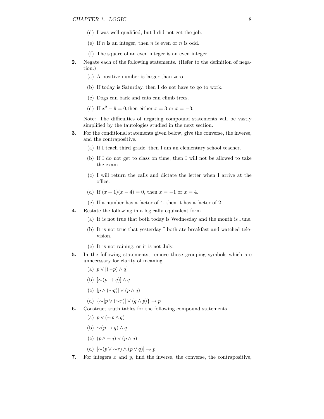- (d) I was well qualified, but I did not get the job.
- (e) If *n* is an integer, then *n* is even or *n* is odd.
- (f) The square of an even integer is an even integer.
- **2.** Negate each of the following statements. (Refer to the definition of negation.)
	- (a) A positive number is larger than zero.
	- (b) If today is Saturday, then I do not have to go to work.
	- (c) Dogs can bark and cats can climb trees.
	- (d) If  $x^2 9 = 0$ , then either  $x = 3$  or  $x = -3$ .

Note: The difficulties of negating compound statements will be vastly simplified by the tautologies studied in the next section.

- **3.** For the conditional statements given below, give the converse, the inverse, and the contrapositive.
	- (a) If I teach third grade, then I am an elementary school teacher.
	- (b) If I do not get to class on time, then I will not be allowed to take the exam.
	- (c) I will return the calls and dictate the letter when I arrive at the office.
	- (d) If  $(x+1)(x-4) = 0$ , then  $x = -1$  or  $x = 4$ .
	- (e) If a number has a factor of 4, then it has a factor of 2.
- **4.** Restate the following in a logically equivalent form.
	- (a) It is not true that both today is Wednesday and the month is June.
	- (b) It is not true that yesterday I both ate breakfast and watched television.
	- (c) It is not raining, or it is not July.
- **5.** In the following statements, remove those grouping symbols which are unnecessary for clarity of meaning.
	- (a) *p* ∨ [(∼*p*) ∧ *q*]
	- (b) [∼(*p* → *q*)] ∧ *q*
	- (c) [*p* ∧ (∼*q*)] ∨ (*p* ∧ *q*)
	- (d) {∼[*p* ∨ (∼*r*)] ∨ (*q* ∧ *p*)} → *p*
- **6.** Construct truth tables for the following compound statements.
	- (a) *p* ∨ (∼*p* ∧ *q*)
	- (b) ∼(*p* → *q*) ∧ *q*
	- (c) (*p* ∧ ∼*q*) ∨ (*p* ∧ *q*)
	- (d) [∼(*p* ∨ ∼*r*) ∧ (*p* ∨ *q*)] → *p*
- **7.** For integers *x* and *y*, find the inverse, the converse, the contrapositive,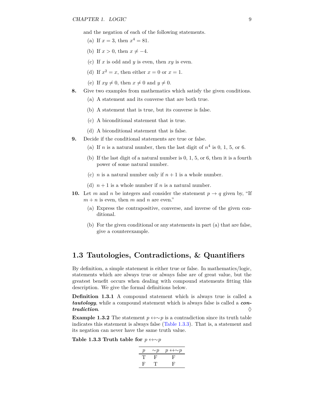and the negation of each of the following statements.

- (a) If  $x = 3$ , then  $x^4 = 81$ .
- (b) If  $x > 0$ , then  $x \neq -4$ .
- (c) If *x* is odd and *y* is even, then *xy* is even.
- (d) If  $x^2 = x$ , then either  $x = 0$  or  $x = 1$ .
- (e) If  $xy \neq 0$ , then  $x \neq 0$  and  $y \neq 0$ .
- **8.** Give two examples from mathematics which satisfy the given conditions.
	- (a) A statement and its converse that are both true.
	- (b) A statement that is true, but its converse is false.
	- (c) A biconditional statement that is true.
	- (d) A biconditional statement that is false.
- **9.** Decide if the conditional statements are true or false.
	- (a) If *n* is a natural number, then the last digit of  $n^4$  is 0, 1, 5, or 6.
	- (b) If the last digit of a natural number is 0, 1, 5, or 6, then it is a fourth power of some natural number.
	- (c) *n* is a natural number only if  $n + 1$  is a whole number.
	- (d)  $n+1$  is a whole number if *n* is a natural number.
- **10.** Let *m* and *n* be integers and consider the statement  $p \rightarrow q$  given by, "If  $m + n$  is even, then *m* and *n* are even."
	- (a) Express the contrapositive, converse, and inverse of the given conditional.
	- (b) For the given conditional or any statements in part (a) that are false, give a counterexample.

## <span id="page-15-0"></span>**1.3 Tautologies, Contradictions, & Quantifiers**

By definition, a simple statement is either true or false. In mathematics/logic, statements which are always true or always false are of great value, but the greatest benefit occurs when dealing with compound statements fitting this description. We give the formal definitions below.

**Definition 1.3.1** A compound statement which is always true is called a *tautology*, while a compound statement which is always false is called a *con-* $\alpha$  *tradiction.* 

**Example 1.3.2** The statement  $p \leftrightarrow \sim p$  is a contradiction since its truth table indicates this statement is always false [\(Table](#page-15-1) [1.3.3\)](#page-15-1). That is, a statement and its negation can never have the same truth value.

<span id="page-15-1"></span>Table 1.3.3 Truth table for  $p \leftrightarrow \sim p$ 

| D  | $\sim p$ | $p \leftrightarrow \sim p$ |
|----|----------|----------------------------|
| T  | F        | Ъ,                         |
| н, | Ή,       | н,                         |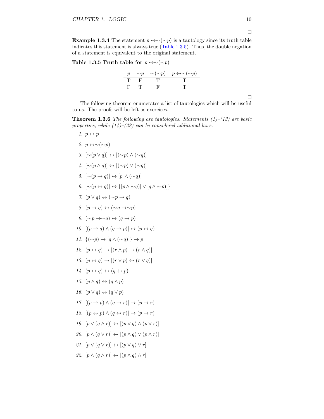**Example 1.3.4** The statement  $p \leftrightarrow \sim(\sim p)$  is a tautology since its truth table indicates this statement is always true [\(Table](#page-16-0) [1.3.5\)](#page-16-0). Thus, the double negation of a statement is equivalent to the original statement.

<span id="page-16-0"></span>Table 1.3.5 Truth table for  $p \leftrightarrow \sim(\sim p)$ 

| . T.<br>-11<br>11 L |  | $\sim p \sim (\sim p)$ $p \leftrightarrow \sim (\sim p)$ |
|---------------------|--|----------------------------------------------------------|
|                     |  |                                                          |
|                     |  |                                                          |

 $\Box$ 

The following theorem enumerates a list of tautologies which will be useful to us. The proofs will be left as exercises.

<span id="page-16-1"></span>**Theorem 1.3.6** *The following are tautologies. Statements (1)–(13) are basic properties, while (14)–(22) can be considered additional laws.*

1.  $p \leftrightarrow p$ *2.*  $p \leftrightarrow ∼( ∼p)$ *3.*  $[\sim (p \vee q)] \leftrightarrow [(\sim p) \wedge (\sim q)]$ *4.* [∼(*p* ∧ *q*)] ↔ [(∼*p*) ∨ (∼*q*)] *5.*  $[\sim (p \rightarrow q)] \leftrightarrow [p \land (\sim q)]$ *6.*  $[∼(p \leftrightarrow q)]$   $\leftrightarrow$   $\{[p \land ∞q)]$   $\lor$   $[q \land ∼p)]\}$ *7.*  $(p \lor q) \leftrightarrow (\sim p \rightarrow q)$ *8.*  $(p \rightarrow q) \leftrightarrow (\sim q \rightarrow \sim p)$ *9.*  $(\sim p \rightarrow \sim q)$  ↔  $(q \rightarrow p)$ 10.  $[(p \rightarrow q) \land (q \rightarrow p)] \leftrightarrow (p \leftrightarrow q)$ *11.*  ${(\sim p) \rightarrow [q \land (\sim q)]} \rightarrow p$ 12.  $(p \leftrightarrow q) \rightarrow [(r \land p) \rightarrow (r \land q)]$ 13.  $(p \leftrightarrow q) \rightarrow [(r \lor p) \leftrightarrow (r \lor q)]$  $14.$   $(p \leftrightarrow q) \leftrightarrow (q \leftrightarrow p)$ *15.*  $(p \land q) \leftrightarrow (q \land p)$ *16.*  $(p \lor q) \leftrightarrow (q \lor p)$ 17.  $[(p \rightarrow p) \land (q \rightarrow r)] \rightarrow (p \rightarrow r)$ 18.  $[(p \leftrightarrow p) \land (q \leftrightarrow r)] \rightarrow (p \rightarrow r)$ *19.*  $[p \lor (q \land r)] \leftrightarrow [(p \lor q) \land (p \lor r)]$ 20.  $[p \wedge (q \vee r)] \leftrightarrow [(p \wedge q) \vee (p \wedge r)]$ 21.  $[p \vee (q \vee r)] \leftrightarrow [(p \vee q) \vee r]$ 22.  $[p \wedge (q \wedge r)] \leftrightarrow [(p \wedge q) \wedge r]$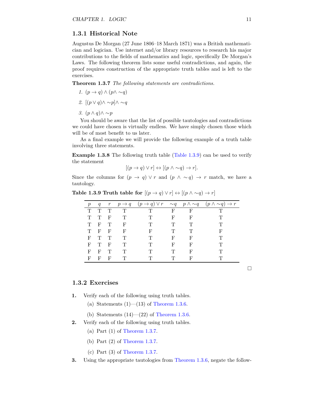#### **1.3.1 Historical Note**

Augustus De Morgan (27 June 1806–18 March 1871) was a British mathematician and logician. Use internet and/or library resources to research his major contributions to the fields of mathematics and logic, specifically De Morgan's Laws. The following theorem lists some useful contradictions, and again, the proof requires construction of the appropriate truth tables and is left to the exercises.

<span id="page-17-1"></span>**Theorem 1.3.7** *The following statements are contradictions.*

- *1.*  $(p \rightarrow q) \land (p \land \sim q)$
- *2.* [(*p* ∨ *q*)∧ ∼*p*]∧ ∼*q*
- *3.* (*p* ∧ *q*)∧ ∼*p*

You should be aware that the list of possible tautologies and contradictions we could have chosen is virtually endless. We have simply chosen those which will be of most benefit to us later.

As a final example we will provide the following example of a truth table involving three statements.

**Example 1.3.8** The following truth table [\(Table](#page-17-0) [1.3.9\)](#page-17-0) can be used to verify the statement

$$
[(p \to q) \lor r] \leftrightarrow [(p \land \sim q) \to r].
$$

Since the columns for  $(p \to q) \lor r$  and  $(p \land \sim q) \to r$  match, we have a tautology.

|                 |              |              |              | L \ L |                               | $\frac{1}{2}$ $\frac{1}{2}$ $\frac{1}{2}$ $\frac{1}{2}$ |                                                                                                                                           |
|-----------------|--------------|--------------|--------------|-------|-------------------------------|---------------------------------------------------------|-------------------------------------------------------------------------------------------------------------------------------------------|
| $p_{\parallel}$ |              |              |              |       |                               |                                                         | $q \quad r \quad p \rightarrow q \quad (p \rightarrow q) \vee r \quad \sim q \quad p \wedge \sim q \quad (p \wedge \sim q) \rightarrow r$ |
| T.              | T T          |              | $\mathbf{T}$ | T     | $\mathbf{F}$ and $\mathbf{F}$ | F                                                       |                                                                                                                                           |
| T               | T            | – F          | T            | Ͳ     | F                             | F                                                       |                                                                                                                                           |
|                 | T F T        |              | F.           |       | Ͳ                             | Ͳ                                                       |                                                                                                                                           |
|                 | T F F        |              | $\mathbf F$  | F     |                               |                                                         | F                                                                                                                                         |
|                 | F T T        |              | T            |       | F                             | F                                                       |                                                                                                                                           |
| F               | $\mathbf{T}$ | $\mathbf{F}$ | T            |       | F                             | F                                                       |                                                                                                                                           |
| F               | $\mathbf{F}$ | $\mathbf{T}$ |              |       |                               |                                                         |                                                                                                                                           |

F F F T T T F T T

<span id="page-17-0"></span>**Table 1.3.9 Truth table for**  $[(p \rightarrow q) \lor r] \leftrightarrow [(p \land \sim q) \rightarrow r]$ 

 $\Box$ 

### **1.3.2 Exercises**

- **1.** Verify each of the following using truth tables.
	- (a) Statements  $(1)$ — $(13)$  of [Theorem](#page-16-1) [1.3.6.](#page-16-1)
	- (b) Statements  $(14)$ — $(22)$  of [Theorem](#page-16-1) [1.3.6.](#page-16-1)
- **2.** Verify each of the following using truth tables.
	- (a) Part (1) of [Theorem](#page-17-1) [1.3.7.](#page-17-1)
	- (b) Part (2) of [Theorem](#page-17-1) [1.3.7.](#page-17-1)
	- (c) Part (3) of [Theorem](#page-17-1) [1.3.7.](#page-17-1)
- <span id="page-17-2"></span>**3.** Using the appropriate tautologies from [Theorem](#page-16-1) [1.3.6,](#page-16-1) negate the follow-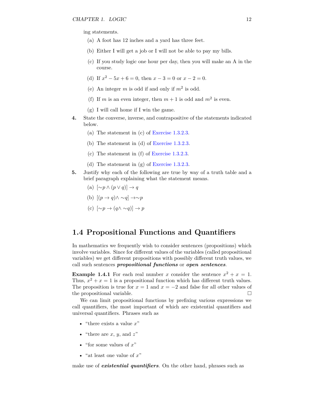ing statements.

- (a) A foot has 12 inches and a yard has three feet.
- (b) Either I will get a job or I will not be able to pay my bills.
- (c) If you study logic one hour per day, then you will make an A in the course.
- (d) If  $x^2 5x + 6 = 0$ , then  $x 3 = 0$  or  $x 2 = 0$ .
- (e) An integer  $m$  is odd if and only if  $m^2$  is odd.
- (f) If *m* is an even integer, then  $m + 1$  is odd and  $m^2$  is even.
- (g) I will call home if I win the game.
- **4.** State the converse, inverse, and contrapositive of the statements indicated below.
	- (a) The statement in (c) of [Exercise 1.3.2.3.](#page-17-2)
	- (b) The statement in (d) of [Exercise 1.3.2.3.](#page-17-2)
	- (c) The statement in (f) of [Exercise 1.3.2.3.](#page-17-2)
	- (d) The statement in (g) of [Exercise 1.3.2.3.](#page-17-2)
- **5.** Justify why each of the following are true by way of a truth table and a brief paragraph explaining what the statement means.
	- (a) [∼*p* ∧ (*p* ∨ *q*)] → *q*
	- (b) [(*p* → *q*)∧ ∼*q*] →∼*p*
	- (c) [∼*p* → (*q*∧ ∼*q*)] → *p*

## <span id="page-18-0"></span>**1.4 Propositional Functions and Quantifiers**

In mathematics we frequently wish to consider sentences (propositions) which involve variables. Since for different values of the variables (called propositional variables) we get different propositions with possibly different truth values, we call such sentences *propositional functions* or *open sentences*.

**Example 1.4.1** For each real number *x* consider the sentence  $x^2 + x = 1$ . Thus,  $x^2 + x = 1$  is a propositional function which has different truth values. The proposition is true for  $x = 1$  and  $x = -2$  and false for all other values of the propositional variable.

We can limit propositional functions by prefixing various expressions we call quantifiers, the most important of which are existential quantifiers and universal quantifiers. Phrases such as

- "there exists a value *x*"
- "there are  $x, y$ , and  $z$ "
- "for some values of *x*"
- "at least one value of *x*"

make use of *existential quantifiers*. On the other hand, phrases such as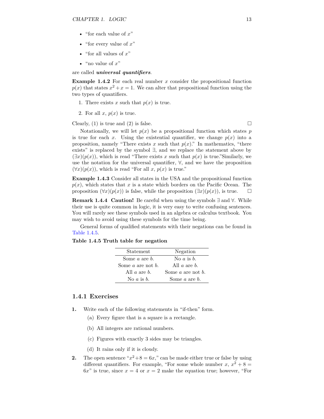- "for each value of *x*"
- "for every value of *x*"
- "for all values of *x*"
- "no value of *x*"

are called *universal quantifiers*.

**Example 1.4.2** For each real number *x* consider the propositional function  $p(x)$  that states  $x^2 + x = 1$ . We can alter that propositional function using the two types of quantifiers.

- 1. There exists x such that  $p(x)$  is true.
- 2. For all  $x, p(x)$  is true.

Clearly, (1) is true and (2) is false.  $\Box$ 

Notationally, we will let  $p(x)$  be a propositional function which states  $p$ is true for each *x*. Using the existential quantifier, we change  $p(x)$  into a proposition, namely "There exists  $x$  such that  $p(x)$ ." In mathematics, "there exists" is replaced by the symbol  $\exists$ , and we replace the statement above by  $(\exists x)(p(x))$ , which is read "There exists x such that  $p(x)$  is true."Similarly, we use the notation for the universal quantifier, ∀, and we have the proposition  $(\forall x)(p(x))$ , which is read "For all *x*,  $p(x)$  is true."

**Example 1.4.3** Consider all states in the USA and the propositional function  $p(x)$ , which states that *x* is a state which borders on the Pacific Ocean. The proposition  $(\forall x)(p(x))$  is false, while the proposition  $(\exists x)(p(x))$ , is true.

**Remark 1.4.4 Caution!** Be careful when using the symbols ∃ and ∀. While their use is quite common in logic, it is very easy to write confusing sentences. You will rarely see these symbols used in an algebra or calculus textbook. You may wish to avoid using these symbols for the time being.

General forms of qualified statements with their negations can be found in [Table](#page-19-0) [1.4.5.](#page-19-0)

#### <span id="page-19-0"></span>**Table 1.4.5 Truth table for negation**

| Statement              | Negation                     |
|------------------------|------------------------------|
| Some $a$ are $b$ .     | No $a$ is $b$ .              |
| Some $a$ are not $b$ . | All $a$ are $b$ .            |
| All $a$ are $b$ .      | Some $a$ are not $b$ .       |
| No $a$ is $b$ .        | Some <i>a</i> are <i>b</i> . |

### **1.4.1 Exercises**

- **1.** Write each of the following statements in "if-then" form.
	- (a) Every figure that is a square is a rectangle.
	- (b) All integers are rational numbers.
	- (c) Figures with exactly 3 sides may be triangles.
	- (d) It rains only if it is cloudy.
- **2.** The open sentence " $x^2 + 8 = 6x$ ," can be made either true or false by using different quantifiers. For example, "For some whole number  $x, x^2 + 8 =$  $6x^{\prime\prime}$  is true, since  $x=4$  or  $x=2$  make the equation true; however, "For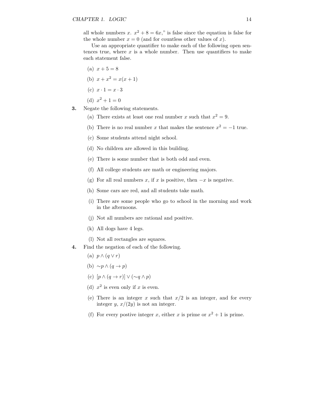all whole numbers *x*.  $x^2 + 8 = 6x$ ," is false since the equation is false for the whole number  $x = 0$  (and for countless other values of x).

Use an appropriate quantifier to make each of the following open sentences true, where  $x$  is a whole number. Then use quantifiers to make each statement false.

- (a)  $x + 5 = 8$
- (b)  $x + x^2 = x(x+1)$
- (c)  $x \cdot 1 = x \cdot 3$
- (d)  $x^2 + 1 = 0$
- **3.** Negate the following statements.
	- (a) There exists at least one real number *x* such that  $x^2 = 9$ .
	- (b) There is no real number x that makes the sentence  $x^2 = -1$  true.
	- (c) Some students attend night school.
	- (d) No children are allowed in this building.
	- (e) There is some number that is both odd and even.
	- (f) All college students are math or engineering majors.
	- (g) For all real numbers *x*, if *x* is positive, then  $-x$  is negative.
	- (h) Some cars are red, and all students take math.
	- (i) There are some people who go to school in the morning and work in the afternoons.
	- (j) Not all numbers are rational and positive.
	- (k) All dogs have 4 legs.
	- (l) Not all rectangles are squares.
- **4.** Find the negation of each of the following.
	- (a) *p* ∧ (*q* ∨ *r*)
	- (b) ∼*p* ∧ (*q* → *p*)
	- (c) [*p* ∧ (*q* → *r*)] ∨ (∼*q* ∧ *p*)
	- (d)  $x^2$  is even only if x is even.
	- (e) There is an integer  $x$  such that  $x/2$  is an integer, and for every integer  $y, x/(2y)$  is not an integer.
	- (f) For every postive integer *x*, either *x* is prime or  $x^2 + 1$  is prime.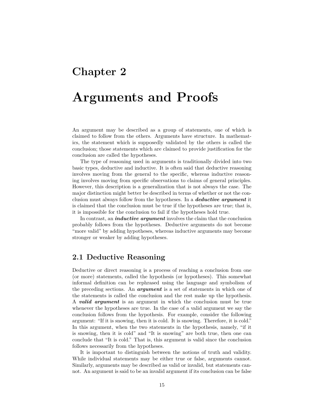## <span id="page-21-0"></span>**Chapter 2**

# **Arguments and Proofs**

An argument may be described as a group of statements, one of which is claimed to follow from the others. Arguments have structure. In mathematics, the statement which is supposedly validated by the others is called the conclusion; those statements which are claimed to provide justification for the conclusion are called the hypotheses.

The type of reasoning used in arguments is traditionally divided into two basic types, deductive and inductive. It is often said that deductive reasoning involves moving from the general to the specific, whereas inductive reasoning involves moving from specific observations to claims of general principles. However, this description is a generalization that is not always the case. The major distinction might better be described in terms of whether or not the conclusion must always follow from the hypotheses. In a *deductive argument* it is claimed that the conclusion must be true if the hypotheses are true; that is, it is impossible for the conclusion to fail if the hypotheses hold true.

In contrast, an *inductive argument* involves the claim that the conclusion probably follows from the hypotheses. Deductive arguments do not become "more valid" by adding hypotheses, whereas inductive arguments may become stronger or weaker by adding hypotheses.

## <span id="page-21-1"></span>**2.1 Deductive Reasoning**

Deductive or direct reasoning is a process of reaching a conclusion from one (or more) statements, called the hypothesis (or hypotheses). This somewhat informal definition can be rephrased using the language and symbolism of the preceding sections. An *argument* is a set of statements in which one of the statements is called the conclusion and the rest make up the hypothesis. A *valid argument* is an argument in which the conclusion must be true whenever the hypotheses are true. In the case of a valid argument we say the conclusion follows from the hypothesis. For example, consider the following argument: "If it is snowing, then it is cold. It is snowing. Therefore, it is cold." In this argument, when the two statements in the hypothesis, namely, "if it is snowing, then it is cold" and "It is snowing" are both true, then one can conclude that "It is cold." That is, this argument is valid since the conclusion follows necessarily from the hypotheses.

It is important to distinguish between the notions of truth and validity. While individual statements may be either true or false, arguments cannot. Similarly, arguments may be described as valid or invalid, but statements cannot. An argument is said to be an invalid argument if its conclusion can be false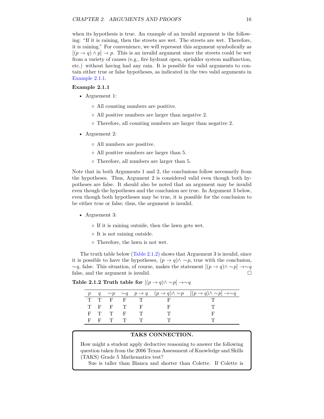when its hypothesis is true. An example of an invalid argument is the following: "If it is raining, then the streets are wet. The streets are wet. Therefore, it is raining." For convenience, we will represent this argument symbolically as  $[(p \rightarrow q) \land p] \rightarrow p$ . This is an invalid argument since the streets could be wet from a variety of causes (e.g., fire hydrant open, sprinkler system malfunction, etc.) without having had any rain. It is possible for valid arguments to contain either true or false hypotheses, as indicated in the two valid arguments in [Example](#page-22-0) [2.1.1.](#page-22-0)

#### <span id="page-22-0"></span>**Example 2.1.1**

- Arguement 1:
	- All counting numbers are positive.
	- All positive numbers are larger than negative 2.
	- Therefore, all counting numbers are larger than negative 2.
- Arguement 2:
	- All numbers are positive.
	- All positive numbers are larger than 5.
	- Therefore, all numbers are larger than 5.

Note that in both Arguments 1 and 2, the conclusions follow necessarily from the hypotheses. Thus, Argument 2 is considered valid even though both hypotheses are false. It should also be noted that an argument may be invalid even though the hypotheses and the conclusion are true. In Argument 3 below, even though both hypotheses may be true, it is possible for the conclusion to be either true or false; thus, the argument is invalid.

- Arguement 3:
	- If it is raining outside, then the lawn gets wet.
	- It is not raining outside.
	- Therefore, the lawn is not wet.

The truth table below [\(Table](#page-22-1) [2.1.2\)](#page-22-1) shows that Arguement 3 is invalid, since it is possible to have the hypotheses,  $(p \to q) \land \sim p$ , true with the conclusion,  $\sim q$ , false. This situation, of course, makes the statement  $[(p \rightarrow q) \land \sim p] \rightarrow \sim q$ false, and the argument is invalid.

<span id="page-22-1"></span>Table 2.1.2 Truth table for  $[(p \rightarrow q) \land \sim p] \rightarrow \sim q$ 

|  |         |          |      | $q \sim p \sim q \quad p \to q \quad (p \to q) \land \sim p \quad [(p \to q) \land \sim p] \to \sim q$ |
|--|---------|----------|------|--------------------------------------------------------------------------------------------------------|
|  | TTFFT   |          | - 15 |                                                                                                        |
|  | T F F T |          |      |                                                                                                        |
|  | F T T F | $\Gamma$ |      |                                                                                                        |
|  | FFTT    |          |      |                                                                                                        |

#### **TAKS CONNECTION.**

How might a student apply deductive reasoning to answer the following question taken from the 2006 Texas Assessment of Knowledge and Skills (TAKS) Grade 5 Mathematics test?

Sue is taller than Bianca and shorter than Colette. If Colette is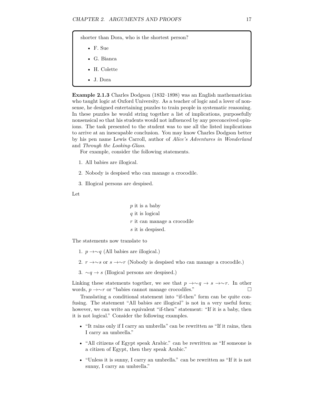shorter than Dora, who is the shortest person?

- F. Sue
- G. Bianca
- H. Colette
- J. Dora

**Example 2.1.3** Charles Dodgson (1832–1898) was an English mathematician who taught logic at Oxford University. As a teacher of logic and a lover of nonsense, he designed entertaining puzzles to train people in systematic reasoning. In these puzzles he would string together a list of implications, purposefully nonsensical so that his students would not influenced by any preconceived opinions. The task presented to the student was to use all the listed implications to arrive at an inescapable conclusion. You may know Charles Dodgson better by his pen name Lewis Carroll, author of *Alice's Adventures in Wonderland* and *Through the Looking-Glass*.

For example, consider the following statements.

- 1. All babies are illogical.
- 2. Nobody is despised who can manage a crocodile.
- 3. Illogical persons are despised.

Let

*p* it is a baby *q* it is logical *r* it can manage a crocodile *s* it is despised*.*

The statements now translate to

- 1. *p* →∼*q* (All babies are illogical.)
- 2. *r* →∼*s* or *s* →∼*r* (Nobody is despised who can manage a crocodile.)
- 3. ∼*q* → *s* (Illogical persons are despised.)

Linking these statements together, we see that  $p \rightarrow \sim q \rightarrow s \rightarrow \sim r$ . In other words, *p* →∼*r* or "babies cannot manage crocodiles."

Translating a conditional statement into "if-then" form can be quite confusing. The statement "All babies are illogical" is not in a very useful form; however, we can write an equivalent "if-then" statement: "If it is a baby, then it is not logical." Consider the following examples.

- "It rains only if I carry an umbrella" can be rewritten as "If it rains, then I carry an umbrella."
- "All citizens of Egypt speak Arabic." can be rewritten as "If someone is a citizen of Egypt, then they speak Arabic."
- "Unless it is sunny, I carry an umbrella." can be rewritten as "If it is not sunny, I carry an umbrella."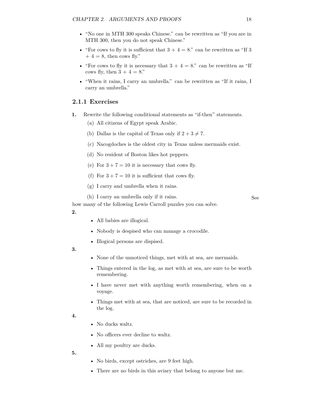- "No one in MTH 300 speaks Chinese." can be rewritten as "If you are in MTH 300, then you do not speak Chinese."
- "For cows to fly it is sufficient that  $3 + 4 = 8$ ." can be rewritten as "If 3"  $+ 4 = 8$ , then cows fly."
- "For cows to fly it is necessary that  $3 + 4 = 8$ ." can be rewritten as "If cows fly, then  $3 + 4 = 8$ ."
- "When it rains, I carry an umbrella." can be rewritten as "If it rains, I carry an umbrella."

### **2.1.1 Exercises**

- **1.** Rewrite the following conditional statements as "if-then" statements.
	- (a) All citizens of Egypt speak Arabic.
	- (b) Dallas is the capital of Texas only if  $2 + 3 \neq 7$ .
	- (c) Nacogdoches is the oldest city in Texas unless mermaids exist.
	- (d) No resident of Boston likes hot peppers.
	- (e) For  $3 + 7 = 10$  it is necessary that cows fly.
	- (f) For  $3 + 7 = 10$  it is sufficient that cows fly.
	- (g) I carry and umbrella when it rains.
	- (h) I carry an umbrella only if it rains. See

how many of the following Lewis Carroll puzzles you can solve.

**2.**

- All babies are illogical.
- Nobody is despised who can manage a crocodile.
- Illogical persons are dispised.

**3.**

- None of the unnoticed things, met with at sea, are mermaids.
- Things entered in the log, as met with at sea, are sure to be worth remembering.
- I have never met with anything worth remembering, when on a voyage.
- Things met with at sea, that are noticed, are sure to be recorded in the log.

**4.**

- No ducks waltz.
- No officers ever decline to waltz.
- All my poultry are ducks.

**5.**

- No birds, except ostriches, are 9 feet high.
- There are no birds in this aviary that belong to anyone but me.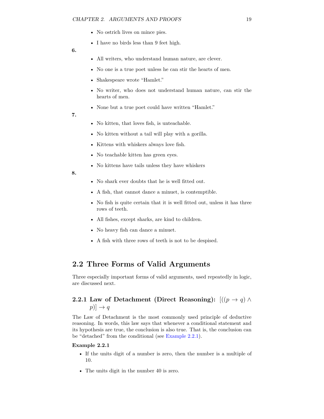- No ostrich lives on mince pies.
- I have no birds less than 9 feet high.
- **6.**
- All writers, who understand human nature, are clever.
- No one is a true poet unless he can stir the hearts of men.
- Shakespeare wrote "Hamlet."
- No writer, who does not understand human nature, can stir the hearts of men.
- None but a true poet could have written "Hamlet."
- **7.**
- No kitten, that loves fish, is unteachable.
- No kitten without a tail will play with a gorilla.
- Kittens with whiskers always love fish.
- No teachable kitten has green eyes.
- No kittens have tails unless they have whiskers
- **8.**
- No shark ever doubts that he is well fitted out.
- A fish, that cannot dance a minuet, is contemptible.
- No fish is quite certain that it is well fitted out, unless it has three rows of teeth.
- All fishes, except sharks, are kind to children.
- No heavy fish can dance a minuet.
- A fish with three rows of teeth is not to be despised.

## <span id="page-25-0"></span>**2.2 Three Forms of Valid Arguments**

Three especially important forms of valid arguments, used repeatedly in logic, are discussed next.

## **2.2.1** Law of Detachment (Direct Reasoning):  $[(p \rightarrow q) \land$  $[p] \rightarrow q$

The Law of Detachment is the most commonly used principle of deductive reasoning. In words, this law says that whenever a conditional statement and its hypothesis are true, the conclusion is also true. That is, the conclusion can be "detached" from the conditional (see [Example](#page-25-1) [2.2.1\)](#page-25-1).

#### <span id="page-25-1"></span>**Example 2.2.1**

- If the units digit of a number is zero, then the number is a multiple of 10.
- The units digit in the number 40 is zero.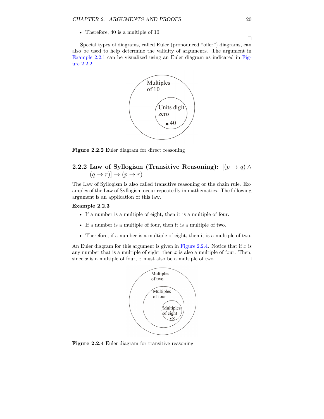• Therefore, 40 is a multiple of 10.

<span id="page-26-0"></span>Special types of diagrams, called Euler (pronounced "oiler") diagrams, can also be used to help determine the validity of arguments. The argument in [Example](#page-25-1) [2.2.1](#page-25-1) can be visualized using an Euler diagram as indicated in [Fig](#page-26-0)ure [2.2.2.](#page-26-0)



**Figure 2.2.2** Euler diagram for direct reasoning

## **2.2.2** Law of Syllogism (Transitive Reasoning):  $[(p \rightarrow q) \land$  $(q \rightarrow r)] \rightarrow (p \rightarrow r)$

The Law of Syllogism is also called transitive reasoning or the chain rule. Examples of the Law of Syllogism occur repeatedly in mathematics. The following argument is an application of this law.

#### **Example 2.2.3**

- If a number is a multiple of eight, then it is a multiple of four.
- If a number is a multiple of four, then it is a multiple of two.
- Therefore, if a number is a multiple of eight, then it is a multiple of two.

<span id="page-26-1"></span>An Euler diagram for this argument is given in [Figure](#page-26-1) [2.2.4.](#page-26-1) Notice that if *x* is any number that is a multiple of eight, then *x* is also a multiple of four. Then, since *x* is a multiple of four, *x* must also be a multiple of two.



Figure 2.2.4 Euler diagram for transitive reasoning

 $\Box$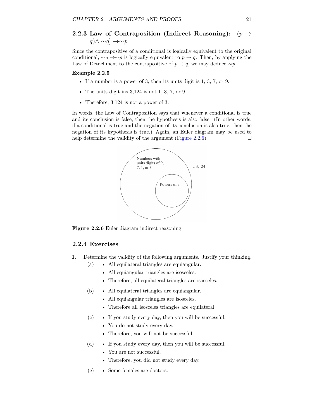## **2.2.3** Law of Contraposition (Indirect Reasoning):  $[(p \rightarrow$ *q*)∧ ∼*q*] →∼*p*

Since the contrapositive of a conditional is logically equivalent to the original conditional,  $\sim q \rightarrow \sim p$  is logically equivalent to  $p \rightarrow q$ . Then, by applying the Law of Detachment to the contrapositive of  $p \to q$ , we may deduce ~*p*.

#### **Example 2.2.5**

- If a number is a power of 3, then its units digit is 1, 3, 7, or 9.
- The units digit ins 3*,*124 is not 1, 3, 7, or 9.
- Therefore, 3*,*124 is not a power of 3.

<span id="page-27-0"></span>In words, the Law of Contraposition says that whenever a conditional is true and its conclusion is false, then the hypothesis is also false. (In other words, if a conditional is true and the negation of its conclusion is also true, then the negation of its hypothesis is true.) Again, an Euler diagram may be used to help determine the validity of the argument [\(Figure](#page-27-0) [2.2.6\)](#page-27-0).  $\Box$ 



**Figure 2.2.6** Euler diagram indirect reasoning

#### **2.2.4 Exercises**

- **1.** Determine the validity of the following arguments. Justify your thinking.
	- (a) All equilateral triangles are equiangular.
		- All equiangular triangles are isosceles.
		- Therefore, all equilateral triangles are isosceles.
	- (b) All equilateral triangles are equiangular.
		- All equiangular triangles are isosceles.
		- Therefore all isosceles triangles are equilateral.
	- (c) If you study every day, then you will be successful.
		- You do not study every day.
		- Therefore, you will not be successful.
	- (d) If you study every day, then you will be successful.
		- You are not successful.
		- Therefore, you did not study every day.
	- (e) Some females are doctors.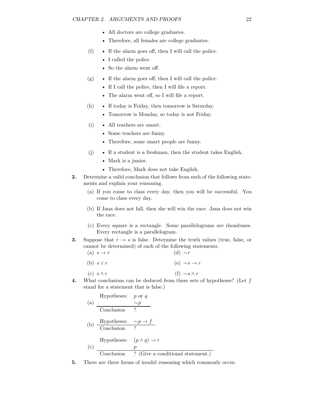- All doctors are college graduates.
- Therefore, all females are college graduates.
- (f) If the alarm goes off, then I will call the police.
	- I called the police.
	- So the alarm went off.
- $(g)$  If the alarm goes off, then I will call the police.
	- If I call the police, then I will file a report.
	- The alarm went off, so I will file a report.
- (h) If today is Friday, then tomorrow is Saturday.
	- Tomorrow is Monday, so today is not Friday.
- (i) All teachers are smart.
	- Some teachers are funny.
	- Therefore, some smart people are funny.
- (j) If a student is a freshman, then the student takes English.
	- Mark is a junior.
	- Therefore, Mark does not take English.
- **2.** Determine a valid conclusion that follows from each of the following statements and explain your reasoning.
	- (a) If you come to class every day, then you will be successful. You come to class every day.
	- (b) If Jana does not fall, then she will win the race. Jana does not win the race.
	- (c) Every square is a rectangle. Some parallelograms are rhombuses. Every rectangle is a parallelogram.
- **3.** Suppose that  $r \to s$  is false. Determine the truth values (true, false, or cannot be determined) of each of the following statements.
	- $(a)$   $s \rightarrow r$ (b) *s* ∨ *r* (c) *s* ∧ *r* (d) ∼*r* (e) ∼*s* → *r* (f) ∼*s* ∧ *r*
- **4.** What conclusions can be deduced from these sets of hypotheses? (Let *f* stand for a statement that is false.)

Hypotheses: 
$$
p
$$
 or  $q$ 

\n(a)  $\frac{\sim p}{\sim p}$ 

\n(b)  $\frac{\text{Hypotheses: } \sim p \to f}{\text{Conclusion } ?}$ 

\n(c)  $\frac{p}{\text{Conclusion } ?}$ 

\n(d)  $\frac{p}{\text{Conclusion } ?}$ 

\n(e)  $\frac{p}{\text{Conclusion } ?}$ 

\n(f)  $\frac{p}{\text{Conclusion } ?}$ 

**5.** There are three forms of invalid reasoning which commonly occur.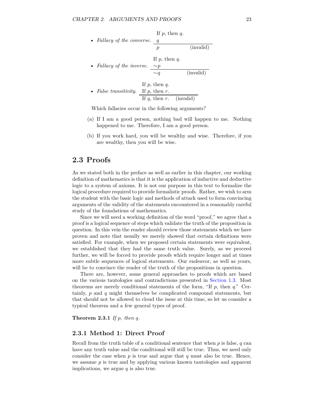

Which fallacies occur in the following arguments?

- (a) If I am a good person, nothing bad will happen to me. Nothing happened to me. Therefore, I am a good person.
- (b) If you work hard, you will be wealthy and wise. Therefore, if you are wealthy, then you will be wise.

## <span id="page-29-0"></span>**2.3 Proofs**

As we stated both in the preface as well as earlier in this chapter, our working definition of mathematics is that it is the application of inductive and deductive logic to a system of axioms. It is not our purpose in this text to formalize the logical procedure required to provide formalistic proofs. Rather, we wish to arm the student with the basic logic and methods of attack used to form convincing arguments of the validity of the statements encountered in a reasonably careful study of the foundations of mathematics.

Since we will need a working definition of the word "proof," we agree that a proof is a logical sequence of steps which validate the truth of the proposition in question. In this vein the reader should review those statements which we have proven and note that usually we merely showed that certain definitions were satisfied. For example, when we proposed certain statements were equivalent, we established that they had the same truth value. Surely, as we proceed further, we will be forced to provide proofs which require longer and at times more subtle sequences of logical statements. Our endeavor, as well as yours, will be to convince the reader of the truth of the propositions in question.

There are, however, some general approaches to proofs which are based on the various tautologies and contradictions presented in [Section](#page-15-0) [1.3.](#page-15-0) Most theorems are merely conditional statements of the form, "If *p*, then *q*." Certainly, *p* and *q* might themselves be complicated compound statements, but that should not be allowed to cloud the issue at this time, so let us consider a typical theorem and a few general types of proof.

**Theorem 2.3.1** *If p, then q.*

#### **2.3.1 Method 1: Direct Proof**

Recall from the truth table of a conditional sentence that when *p* is false, *q* can have any truth value and the conditional will still be true. Thus, we need only consider the case when *p* is true and argue that *q* must also be true. Hence, we assume *p* is true and by applying various known tautologies and apparent implications, we argue *q* is also true.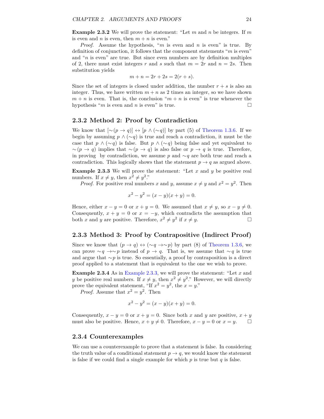**Example 2.3.2** We will prove the statement: "Let *m* and *n* be integers. If *m* is even and *n* is even, then  $m + n$  is even."

*Proof.* Assume the hypothesis, "*m* is even and *n* is even" is true. By definition of conjunction, it follows that the component statements "*m* is even" and "*n* is even" are true. But since even numbers are by definition multiples of 2, there must exist integers  $r$  and  $s$  such that  $m = 2r$  and  $n = 2s$ . Then substitution yields

$$
m + n = 2r + 2s = 2(r + s).
$$

Since the set of integers is closed under addition, the number  $r + s$  is also an integer. Thus, we have written  $m + n$  as 2 times an integer, so we have shown  $m + n$  is even. That is, the conclusion " $m + n$  is even" is true whenever the hypothesis "*m* is even and *n* is even" is true.

#### **2.3.2 Method 2: Proof by Contradiction**

We know that  $[\sim (p \rightarrow q)] \leftrightarrow [p \wedge (\sim q)]$  by part (5) of [Theorem](#page-16-1) [1.3.6.](#page-16-1) If we begin by assuming *p* ∧ (∼*q*) is true and reach a contradiction, it must be the case that  $p \wedge (\sim q)$  is false. But  $p \wedge (\sim q)$  being false and yet equivalent to  $~\sim$   $(p \rightarrow q)$  implies that  $~\sim$   $(p \rightarrow q)$  is also false or  $p \rightarrow q$  is true. Therefore, in proving by contradiction, we assume *p* and ∼*q* are both true and reach a contradiction. This logically shows that the statement  $p \to q$  as argued above.

<span id="page-30-0"></span>**Example 2.3.3** We will prove the statement: "Let *x* and *y* be positive real numbers. If  $x \neq y$ , then  $x^2 \neq y^2$ ."

*Proof.* For positive real numbers *x* and *y*, assume  $x \neq y$  and  $x^2 = y^2$ . Then

$$
x^2 - y^2 = (x - y)(x + y) = 0.
$$

Hence, either  $x - y = 0$  or  $x + y = 0$ . We assumed that  $x \neq y$ , so  $x - y \neq 0$ . Consequently,  $x + y = 0$  or  $x = -y$ , which contradicts the assumption that both *x* and *y* are positive. Therefore,  $x^2 \neq y^2$  if  $x \neq y$ .

#### **2.3.3 Method 3: Proof by Contrapositive (Indirect Proof)**

Since we know that  $(p \to q) \leftrightarrow (\sim q \to \sim p)$  by part (8) of [Theorem](#page-16-1) [1.3.6,](#page-16-1) we can prove  $\sim q \rightarrow \sim p$  instead of  $p \rightarrow q$ . That is, we assume that  $\sim q$  is true and argue that ∼*p* is true. So essentially, a proof by contraposition is a direct proof applied to a statement that is equivalent to the one we wish to prove.

**Example 2.3.4** As in [Example](#page-30-0) [2.3.3,](#page-30-0) we will prove the statement: "Let *x* and *y* be positive real numbers. If  $x \neq y$ , then  $x^2 \neq y^2$ ." However, we will directly prove the equivalent statement, "If  $x^2 = y^2$ , the  $x = y$ ."

*Proof.* Assume that  $x^2 = y^2$ . Then

$$
x^2 - y^2 = (x - y)(x + y) = 0.
$$

Consequently,  $x - y = 0$  or  $x + y = 0$ . Since both x and y are positive,  $x + y$ must also be positive. Hence,  $x + y \neq 0$ . Therefore,  $x - y = 0$  or  $x = y$ .  $\Box$ 

#### **2.3.4 Counterexamples**

We can use a counterexample to prove that a statement is false. In considering the truth value of a conditional statement  $p \to q$ , we would know the statement is false if we could find a single example for which  $p$  is true but  $q$  is false.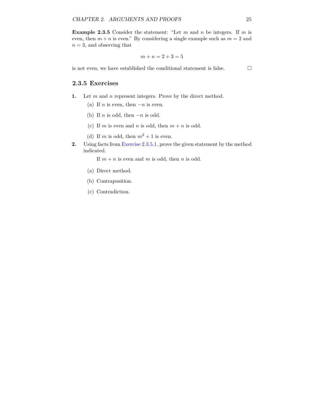**Example 2.3.5** Consider the statement: "Let *m* and *n* be integers. If *m* is even, then  $m + n$  is even." By considering a single example such as  $m = 2$  and  $n = 3$ , and observing that

$$
m + n = 2 + 3 = 5
$$

is not even, we have established the conditional statement is false.  $\Box$ 

#### **2.3.5 Exercises**

- <span id="page-31-0"></span>**1.** Let *m* and *n* represent integers. Prove by the direct method.
	- (a) If *n* is even, then  $-n$  is even.
	- (b) If *n* is odd, then  $-n$  is odd.
	- (c) If *m* is even and *n* is odd, then  $m + n$  is odd.
	- (d) If *m* is odd, then  $m^2 + 1$  is even.
- **2.** Using facts from [Exercise 2.3.5.1,](#page-31-0) prove the given statement by the method indicated.

If  $m + n$  is even and  $m$  is odd, then  $n$  is odd.

- (a) Direct method.
- (b) Contraposition.
- (c) Contradiction.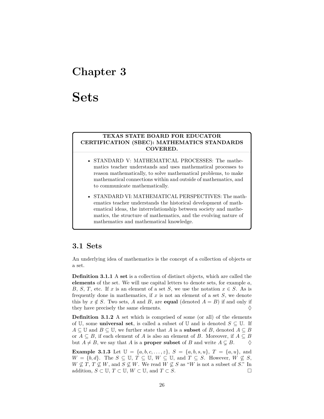## <span id="page-32-0"></span>**Chapter 3**

# **Sets**

#### **TEXAS STATE BOARD FOR EDUCATOR CERTIFICATION (SBEC): MATHEMATICS STANDARDS COVERED.**

- STANDARD V: MATHEMATICAL PROCESSES: The mathematics teacher understands and uses mathematical processes to reason mathematically, to solve mathematical problems, to make mathematical connections within and outside of mathematics, and to communicate mathematically.
- STANDARD VI: MATHEMATICAL PERSPECTIVES: The mathematics teacher understands the historical development of mathematical ideas, the interrelationship between society and mathematics, the structure of mathematics, and the evolving nature of mathematics and mathematical knowledge.

## <span id="page-32-1"></span>**3.1 Sets**

An underlying idea of mathematics is the concept of a collection of objects or a set.

**Definition 3.1.1** A **set** is a collection of distinct objects, which are called the **elements** of the set. We will use capital letters to denote sets, for example *a*, *B*, *S*, *T*, etc. If *x* is an element of a set *S*, we use the notation  $x \in S$ . As is frequently done in mathematics, if *x* is not an element of a set *S*, we denote this by  $x \notin S$ . Two sets, *A* and *B*, are **equal** (denoted  $A = B$ ) if and only if they have precisely the same elements.  $\Diamond$ 

**Definition 3.1.2** A set which is comprised of some (or all) of the elements of U, some **universal set**, is called a subset of U and is denoted  $S \subseteq U$ . If *A* ⊆ **U** and *B* ⊆ **U**, we further state that *A* is a **subset** of *B*, denoted *A* ⊆ *B* or  $A \subseteq B$ , if each element of *A* is also an element of *B*. Moreover, if  $A \subseteq B$ but  $A \neq B$ , we say that *A* is a **proper subset** of *B* and write  $A \subsetneq B$ .  $\diamond$ 

**Example 3.1.3** Let  $\mathbb{U} = \{a, b, c, ..., z\}$ ,  $S = \{a, b, s, u\}$ ,  $T = \{a, u\}$ , and *W* = {*b, d*}. The *S* ⊆ U, *T* ⊆ U, *W* ⊆ U, and *T* ⊆ *S*. However, *W* ⊈ *S*,  $W \not\subseteq T$ ,  $T \not\subseteq W$ , and  $S \not\subseteq W$ . We read  $W \not\subseteq S$  as "*W* is not a subset of *S*." In addition,  $S \subset \mathbb{U}$ ,  $T \subset \mathbb{U}$ ,  $W \subset \mathbb{U}$ , and  $T \subset S$ .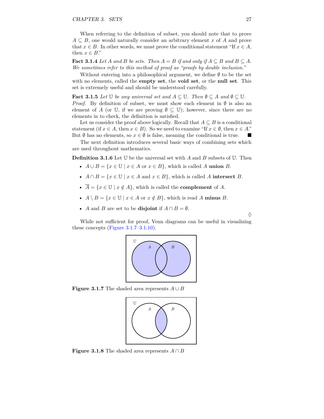When referring to the definition of subset, you should note that to prove  $A \subseteq B$ , one would naturally consider an arbitrary element *x* of *A* and prove that  $x \in B$ . In other words, we must prove the conditional statement "If  $x \in A$ , then  $x \in B$ ."

**Fact 3.1.4** *Let A and B be sets. Then*  $A = B$  *if and only if*  $A \subseteq B$  *and*  $B \subseteq A$ *. We sometimes refer to this method of proof as "proofs by double inclusion."*

Without entering into a philosophical argument, we define  $\emptyset$  to be the set with no elements, called the **empty set**, the **void set**, or the **null set**. This set is extremely useful and should be understood carefully.

**Fact 3.1.5** *Let*  $\mathbb{U}$  *be any universal set and*  $A \subseteq \mathbb{U}$ *. Then*  $\emptyset \subseteq A$  *and*  $\emptyset \subseteq \mathbb{U}$ *.* 

*Proof.* By definition of subset, we must show each element in  $\emptyset$  is also an element of *A* (or U, if we are proving  $\emptyset \subseteq U$ ); however, since there are no elements in to check, the definition is satisfied.

Let us consider the proof above logically. Recall that  $A \subseteq B$  is a conditional statement (if  $x \in A$ , then  $x \in B$ ). So we need to examine "If  $x \in \emptyset$ , then  $x \in A$ ." But  $\emptyset$  has no elements, so  $x \in \emptyset$  is false, meaning the conditional is true.

The next definition introduces several basic ways of combining sets which are used throughout mathematics.

**Definition 3.1.6** Let U be the universal set with *A* and *B* subsets of U. Then

- $A \cup B = \{x \in \mathbb{U} \mid x \in A \text{ or } x \in B\}$ , which is called A **union** *B*.
- $A \cap B = \{x \in \mathbb{U} \mid x \in A \text{ and } x \in B\}$ , which is called *A* **intersect** *B*.
- $\overline{A} = \{x \in \mathbb{U} \mid x \notin A\}$ , which is called the **complement** of *A*.
- $A \setminus B = \{x \in \mathbb{U} \mid x \in A \text{ or } x \notin B\}$ , which is read *A* minus *B*.
- *A* and *B* are set to be **disjoint** if  $A \cap B = \emptyset$ .

<span id="page-33-0"></span>While not sufficient for proof, Venn diagrams can be useful in visualizing these concepts  $(Figure 3.1.7-3.1.10)$ .



**Figure 3.1.7** The shaded area represents  $A \cup B$ 



**Figure 3.1.8** The shaded area represents  $A \cap B$ 

 $\Diamond$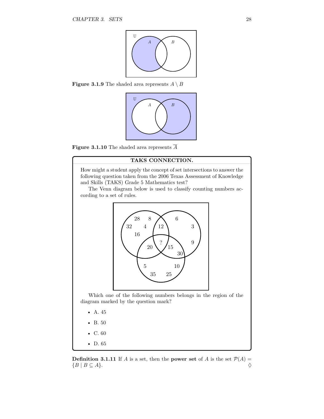

<span id="page-34-0"></span>**Figure 3.1.9** The shaded area represents  $A \setminus B$ 



**Figure 3.1.10** The shaded area represents  $\overline{A}$ 

#### **TAKS CONNECTION.**

How might a student apply the concept of set intersections to answer the following question taken from the 2006 Texas Assessment of Knowledge and Skills (TAKS) Grade 5 Mathematics test?

The Venn diagram below is used to classify counting numbers according to a set of rules.



Which one of the following numbers belongs in the region of the diagram marked by the question mark?

- A. 45
- B. 50
- C. 60
- D. 65

**Definition 3.1.11** If *A* is a set, then the **power set** of *A* is the set  $P(A)$  =  ${B \mid B \subseteq A}$ .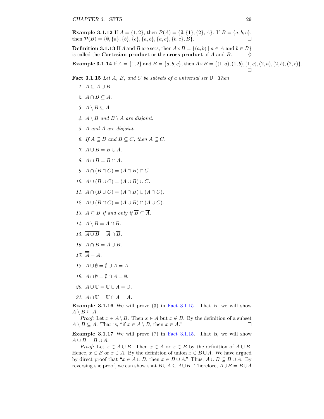**Example 3.1.12** If  $A = \{1, 2\}$ , then  $\mathcal{P}(A) = \{\emptyset, \{1\}, \{2\}, A\}$ . If  $B = \{a, b, c\}$ , then  $\mathcal{P}(B) = \{\emptyset, \{a\}, \{b\}, \{c\}, \{a, b\}, \{a, c\}, \{b, c\}, B\}.$ 

**Definition 3.1.13** If *A* and *B* are sets, then  $A \times B = \{(a, b) | a \in A \text{ and } b \in B\}$ is called the **Cartesian product** or the **cross product** of *A* and *B*.  $\diamond$ 

**Example 3.1.14** If  $A = \{1, 2\}$  and  $B = \{a, b, c\}$ , then  $A \times B = \{(1, a), (1, b), (1, c), (2, a), (2, b), (2, c)\}.$  $\Box$ 

<span id="page-35-0"></span>**Fact 3.1.15** *Let A, B, and C be subsets of a universal set* U*. Then*

- $1.$   $A ⊆ A ∪ B$ *.*
- *2.*  $A ∩ B ⊂ A$ *.*
- $3.$  *A*  $\setminus$  *B* ⊆ *A*.
- 4.  $A \setminus B$  *and*  $B \setminus A$  *are disjoint.*
- 5. *A* and  $\overline{A}$  are disjoint.
- *6. If*  $A ⊆ B$  *and*  $B ⊆ C$ *, then*  $A ⊆ C$ *.*
- $7. A \cup B = B \cup A$ *.*
- *8.*  $A ∩ B = B ∩ A$ *.*
- *9.*  $A \cap (B \cap C) = (A \cap B) \cap C$ *.*
- *10.*  $A \cup (B \cup C) = (A \cup B) \cup C$ *.*
- *11.*  $A \cap (B \cup C) = (A \cap B) \cup (A \cap C)$ *.*
- *12.*  $A \cup (B \cap C) = (A \cup B) \cap (A \cup C)$ *.*
- *13. A* ⊂ *B if and only if*  $\overline{B}$  ⊂  $\overline{A}$ *.*
- *14. A*  $\setminus$  *B* = *A* ∩ *B.*
- $15.$   $\overline{A \cup B} = \overline{A} \cap \overline{B}$ .
- *16.*  $\overline{A \cap B} = \overline{A} \cup \overline{B}$ .
- $17. \ \overline{\overline{A}} = A.$
- *18.*  $A \cup \emptyset = \emptyset \cup A = A$ .
- *19.*  $A \cap \emptyset = \emptyset \cap A = \emptyset$ .
- *20.*  $A \cup \mathbb{U} = \mathbb{U} \cup A = \mathbb{U}$ .
- *21.*  $A \cap \mathbb{U} = \mathbb{U} \cap A = A$ *.*

**Example 3.1.16** We will prove  $(3)$  in Fact [3.1.15.](#page-35-0) That is, we will show  $A \setminus B \subseteq A$ .

*Proof:* Let  $x \in A \setminus B$ . Then  $x \in A$  but  $x \notin B$ . By the definition of a subset  $A \setminus B \subseteq A$ . That is, "if  $x \in A \setminus B$ , then  $x \in A$ ."

**Example 3.1.17** We will prove (7) in Fact [3.1.15.](#page-35-0) That is, we will show  $A \cup B = B \cup A$ .

*Proof:* Let  $x \in A \cup B$ . Then  $x \in A$  or  $x \in B$  by the definition of  $A \cup B$ . Hence,  $x \in B$  or  $x \in A$ . By the definition of union  $x \in B \cup A$ . We have argued by direct proof that " $x \in A \cup B$ , then  $x \in B \cup A$ ." Thus,  $A \cup B \subseteq B \cup A$ . By reversing the proof, we can show that  $B \cup A \subseteq A \cup B$ . Therefore,  $A \cup B = B \cup A$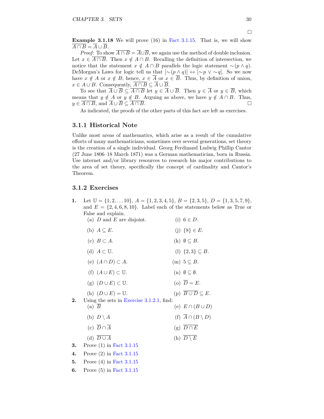<span id="page-36-2"></span>**Example 3.1.18** We will prove (16) in Fact [3.1.15.](#page-35-0) That is, we will show  $\overline{A \cap B} = \overline{A} \cup \overline{B}.$ 

*Proof:* To show  $\overline{A \cap B} = \overline{A} \cup \overline{B}$ , we again use the method of double inclusion. Let  $x \in \overline{A \cap B}$ . Then  $x \notin A \cap B$ . Recalling the definition of intersection, we notice that the statement  $x \notin A \cap B$  parallels the logic statement ~( $p \land q$ ). DeMorgan's Laws for logic tell us that  $[\sim (p \land q)] \leftrightarrow [\sim p \lor \sim q]$ . So we now have  $x \notin A$  or  $x \notin B$ ; hence,  $x \in \overline{A}$  or  $x \in \overline{B}$ . Thus, by definition of union, *x* ∈ *A* ∪ *B*. Consequently,  $\overline{A \cap B} \subseteq \overline{A} \cup \overline{B}$ .

To see that  $\overline{A} \cup \overline{B} \subseteq \overline{A \cap B}$  let  $y \in \overline{A} \cup \overline{B}$ . Then  $y \in \overline{A}$  or  $y \in \overline{B}$ , which means that  $y \notin A$  or  $y \notin B$ . Arguing as above, we have  $y \notin A \cap B$ . Thus,  $y \in \overline{A \cap B}$ , and  $\overline{A} \cup \overline{B} \subseteq \overline{A \cap B}$ .

As indicated, the proofs of the other parts of this fact are left as exercises.

#### <span id="page-36-1"></span>**3.1.1 Historical Note**

Unlike most areas of mathematics, which arise as a result of the cumulative efforts of many mathematicians, sometimes over several generations, set theory is the creation of a single individual. Georg Ferdinand Ludwig Phillip Cantor (27 June 1806–18 March 1871) was a German mathematician, born in Russia. Use internet and/or library resources to research his major contributions to the area of set theory, specifically the concept of cardinality and Cantor's Theorem.

### **3.1.2 Exercises**

<span id="page-36-0"></span>**1.** Let  $\mathbb{U} = \{1, 2, \ldots, 10\}, A = \{1, 2, 3, 4, 5\}, B = \{2, 3, 5\}, D = \{1, 3, 5, 7, 9\},\$ and  $E = \{2, 4, 6, 8, 10\}$ . Label each of the statements below as True or False and explain.

|    | (a) $D$ and $E$ are disjoint.                             | (i) $6 \in D$ .                         |
|----|-----------------------------------------------------------|-----------------------------------------|
|    | (b) $A \subseteq E$ .                                     | (j) $\{8\} \in E$ .                     |
|    | (c) $B \subset A$ .                                       | $(k)$ $\emptyset \subseteq B$ .         |
|    | (d) $A \subset \mathbb{U}$ .                              | (1) $\{2,3\} \subseteq B$ .             |
|    | (e) $(A \cap D) \subset A$ .                              | $(m)$ $5 \subseteq B$ .                 |
|    | (f) $(A \cup E) \subset \mathbb{U}$ .                     | $(n)$ $\emptyset \subseteq \emptyset$ . |
|    | (g) $(D \cup E) \subset \mathbb{U}$ .                     | (o) $\overline{D} = E$ .                |
|    | (h) $(D \cup E) = \mathbb{U}$ .                           | (p) $\overline{B \cup D} \subseteq E$ . |
| 2. | Using the sets in Exercise $3.1.2.1$ , find:<br>$(a)$ $B$ | (e) $E \cap (B \cup D)$                 |
|    | (b) $D \setminus A$                                       | (f) $\overline{A} \cap (B \setminus D)$ |
|    | (c) $\overline{D} \cap \overline{A}$                      | (g) $\overline{D \cap E}$               |
|    | (d) $\overline{D \cup A}$                                 | (h) $D \setminus E$                     |
| 3. | Prove $(1)$ in Fact 3.1.15                                |                                         |
| 4. | Prove $(2)$ in Fact 3.1.15                                |                                         |
|    |                                                           |                                         |

**5.** Prove (4) in Fact [3.1.15](#page-35-0) **6.** Prove (5) in Fact [3.1.15](#page-35-0)  $\Box$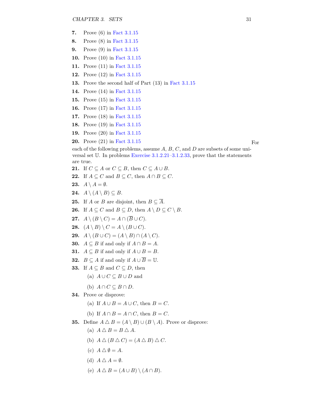- **7.** Prove (6) in Fact [3.1.15](#page-35-0)
- **8.** Prove (8) in Fact [3.1.15](#page-35-0)
- **9.** Prove (9) in Fact [3.1.15](#page-35-0)
- **10.** Prove (10) in Fact [3.1.15](#page-35-0)
- **11.** Prove (11) in Fact [3.1.15](#page-35-0)
- **12.** Prove (12) in Fact [3.1.15](#page-35-0)
- **13.** Prove the second half of Part (13) in Fact [3.1.15](#page-35-0)
- **14.** Prove (14) in Fact [3.1.15](#page-35-0)
- **15.** Prove (15) in Fact [3.1.15](#page-35-0)
- **16.** Prove (17) in Fact [3.1.15](#page-35-0)
- **17.** Prove (18) in Fact [3.1.15](#page-35-0)
- **18.** Prove (19) in Fact [3.1.15](#page-35-0)
- **19.** Prove (20) in Fact [3.1.15](#page-35-0)
- **20.** Prove (21) in Fact [3.1.15](#page-35-0) For

each of the following problems, assume *A*, *B*, *C*, and *D* are subsets of some universal set U. In problems [Exercise 3.1.2.21–3.1.2.33,](#page-37-0) prove that the statements are true.

- **21.** If  $C \subseteq A$  or  $C \subseteq B$ , then  $C \subseteq A \cup B$ .
- <span id="page-37-0"></span>**22.** If  $A \subseteq C$  and  $B \subseteq C$ , then  $A \cap B \subseteq C$ .
- **23.**  $A \setminus A = \emptyset$ .
- **24.**  $A \setminus (A \setminus B) \subseteq B$ .
- **25.** If *A* or *B* are disjoint, then  $B \subseteq \overline{A}$ .
- **26.** If  $A \subseteq C$  and  $B \subseteq D$ , then  $A \setminus D \subseteq C \setminus B$ .
- **27.**  $A \setminus (B \setminus C) = A \cap (\overline{B} \cup C).$
- **28.**  $(A \setminus B) \setminus C = A \setminus (B \cup C)$ .
- **29.**  $A \setminus (B \cup C) = (A \setminus B) \cap (A \setminus C).$
- **30.** *A* ⊆ *B* if and only if  $A ∩ B = A$ .
- **31.** *A* ⊆ *B* if and only if  $A ∪ B = B$ .
- **32.**  $B \subseteq A$  if and only if  $A \cup \overline{B} = \mathbb{U}$ .
- **33.** If  $A \subseteq B$  and  $C \subseteq D$ , then
	- (a)  $A \cup C \subseteq B \cup D$  and
	- (b)  $A \cap C \subseteq B \cap D$ .
- **34.** Prove or disprove:
	- (a) If  $A \cup B = A \cup C$ , then  $B = C$ .
	- (b) If  $A \cap B = A \cap C$ , then  $B = C$ .
- **35.** Define  $A \triangle B = (A \setminus B) \cup (B \setminus A)$ . Prove or disprove:
	- (a)  $A \triangle B = B \triangle A$ .
	- (b)  $A \triangle (B \triangle C) = (A \triangle B) \triangle C$ .
	- (c)  $A \triangle \emptyset = A$ .
	- (d)  $A \triangle A = \emptyset$ .
	- (e)  $A \triangle B = (A \cup B) \setminus (A \cap B)$ .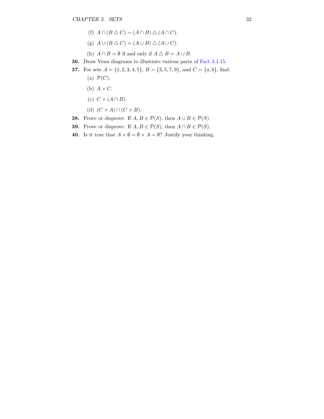- (f)  $A \cap (B \triangle C) = (A \cap B) \triangle (A \cap C)$ .
- (g)  $A \cup (B \triangle C) = (A \cup B) \triangle (A \cup C)$ .
- (h)  $A \cap B = \emptyset$  if and only if  $A \triangle B = A \cup B$ .
- **36.** Draw Venn diagrams to illustrate various parts of Fact [3.1.15.](#page-35-0)
- **37.** For sets  $A = \{1, 2, 3, 4, 5\}$ ,  $B = \{3, 5, 7, 9\}$ , and  $C = \{a, b\}$ , find: (a)  $\mathcal{P}(C)$ .
	- (b)  $A \times C$ .
	- (c)  $C \times (A \cap B)$ .
	- (d)  $(C \times A) \cap (C \times B)$ .
- **38.** Prove or disprove: If  $A, B \in \mathcal{P}(S)$ , then  $A \cup B \in \mathcal{P}(S)$ .
- **39.** Prove or disprove: If  $A, B \in \mathcal{P}(S)$ , then  $A \cap B \in \mathcal{P}(S)$ .
- **40.** Is it true that  $A \times \emptyset = \emptyset \times A = \emptyset$ ? Justify your thinking.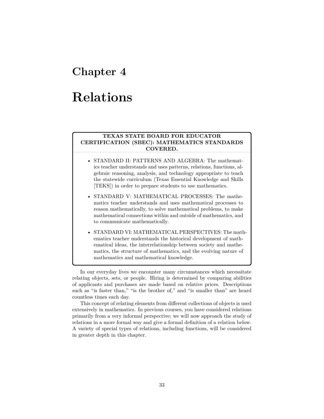# **Chapter 4**

# **Relations**

### **TEXAS STATE BOARD FOR EDUCATOR CERTIFICATION (SBEC): MATHEMATICS STANDARDS COVERED.**

- STANDARD II: PATTERNS AND ALGEBRA: The mathematics teacher understands and uses patterns, relations, functions, algebraic reasoning, analysis, and technology appropriate to teach the statewide curriculum (Texas Essential Knowledge and Skills [TEKS]) in order to prepare students to use mathematics.
- STANDARD V: MATHEMATICAL PROCESSES: The mathematics teacher understands and uses mathematical processes to reason mathematically, to solve mathematical problems, to make mathematical connections within and outside of mathematics, and to communicate mathematically.
- STANDARD VI: MATHEMATICAL PERSPECTIVES: The mathematics teacher understands the historical development of mathematical ideas, the interrelationship between society and mathematics, the structure of mathematics, and the evolving nature of mathematics and mathematical knowledge.

In our everyday lives we encounter many circumstances which necessitate relating objects, sets, or people. Hiring is determined by comparing abilities of applicants and purchases are made based on relative prices. Descriptions such as "is faster than," "is the brother of," and "is smaller than" are heard countless times each day.

This concept of relating elements from different collections of objects is used extensively in mathematics. In previous courses, you have considered relations primarily from a very informal perspective; we will now approach the study of relations in a more formal way and give a formal definition of a relation below. A variety of special types of relations, including functions, will be considered in greater depth in this chapter.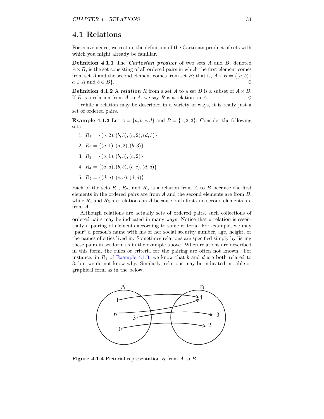## <span id="page-40-2"></span>**4.1 Relations**

For convenience, we restate the definition of the Cartesian product of sets with which you might already be familiar.

**Definition 4.1.1** The *Cartesian product* of two sets *A* and *B*, denoted  $A \times B$ , is the set consisting of all ordered pairs in which the first element comes from set *A* and the second element comes from set *B*; that is,  $A \times B = \{(a, b) \mid$  $a \in A$  and  $b \in B$ .

**Definition 4.1.2** A *relation R* from a set *A* to a set *B* is a subset of  $A \times B$ . If  $R$  is a relation from  $A$  to  $A$ , we say  $R$  is a relation on  $A$ .

While a relation may be described in a variety of ways, it is really just a set of ordered pairs.

<span id="page-40-0"></span>**Example 4.1.3** Let  $A = \{a, b, c, d\}$  and  $B = \{1, 2, 3\}$ . Consider the following sets.

- 1.  $R_1 = \{(a, 2), (b, 3), (c, 2), (d, 3)\}$
- 2.  $R_2 = \{(a, 1), (a, 2), (b, 3)\}$
- 3.  $R_3 = \{(a, 1), (b, 3), (c, 2)\}\$
- 4.  $R_4 = \{(a, a), (b, b), (c, c), (d, d)\}$
- 5.  $R_5 = \{(d, a), (c, a), (d, d)\}$

Each of the sets  $R_1$ ,  $R_2$ , and  $R_3$  is a relation from A to B because the first elements in the ordered pairs are from *A* and the second elements are from *B*, while  $R_4$  and  $R_5$  are relations on  $A$  because both first and second elements are from  $A$ .

Although relations are actually sets of ordered pairs, such collections of ordered pairs may be indicated in many ways. Notice that a relation is essentially a pairing of elements according to some criteria. For example, we may "pair" a person's name with his or her social security number, age, height, or the names of cities lived in. Sometimes relations are specified simply by listing these pairs in set form as in the example above. When relations are described in this form, the rules or criteria for the pairing are often not known. For instance, in  $R_1$  of [Example](#page-40-0) [4.1.3,](#page-40-0) we know that  $b$  and  $d$  are both related to 3, but we do not know why. Similarly, relations may be indicated in table or graphical form as in the below.

<span id="page-40-1"></span>

**Figure 4.1.4** Pictorial representation *R* from *A* to *B*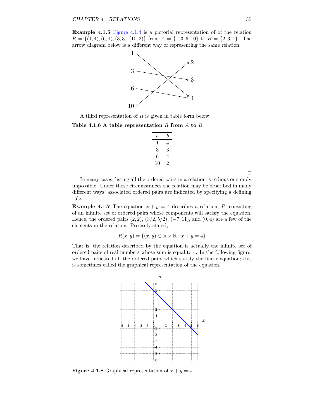**Example 4.1.5** [Figure](#page-40-1) [4.1.4](#page-40-1) is a pictorial representation of of the relation  $R = \{(1,4), (6,4), (3,3), (10,2)\}\$ from  $A = \{1,3,6,10\}$  to  $B = \{2,3,4\}$ . The arrow diagram below is a different way of representing the same relation.



A third representation of *R* is given in table form below.

#### **Table 4.1.6 A table representation** *R* **from** *A* **to** *B*

| $\it a$ | b  |
|---------|----|
| 1       | 4  |
| 3       | 3  |
| 6       | 4  |
| 10      | ۰, |

 $\Box$ 

In many cases, listing all the ordered pairs in a relation is tedious or simply impossible. Under those circumstances the relation may be described in many different ways; associated ordered pairs are indicated by specifying a defining rule.

**Example 4.1.7** The equation  $x + y = 4$  describes a relation, *R*, consisting of an infinite set of ordered pairs whose components will satisfy the equation. Hence, the ordered pairs  $(2, 2)$ ,  $(3/2, 5/2)$ ,  $(-7, 11)$ , and  $(0, 4)$  are a few of the elements in the relation. Precisely stated,

$$
R(x, y) = \{(x, y) \in \mathbb{R} \times \mathbb{R} \mid x + y = 4\}
$$

That is, the relation described by the equation is actually the infinite set of ordered pairs of real numbers whose sum is equal to 4. In the following figure, we have indicated all the ordered pairs which satisfy the linear equation; this is sometimes called the graphical representation of the equation.



**Figure 4.1.8** Graphical representation of  $x + y = 4$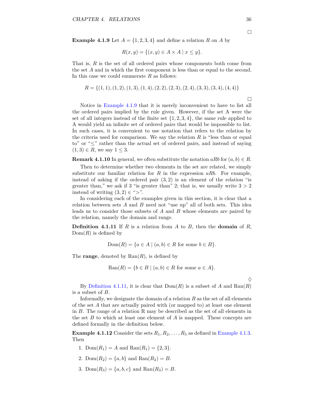<span id="page-42-2"></span><span id="page-42-0"></span>**Example 4.1.9** Let  $A = \{1, 2, 3, 4\}$  and define a relation R on A by

$$
R(x, y) = \{(x, y) \in A \times A \mid x \le y\}.
$$

That is, *R* is the set of all ordered pairs whose components both come from the set *A* and in which the first component is less than or equal to the second. In this case we could enumerate *R* as follows:

$$
R = \{(1, 1), (1, 2), (1, 3), (1, 4), (2, 2), (2, 3), (2, 4), (3, 3), (3, 4), (4, 4)\}
$$

Notice in [Example](#page-42-0) [4.1.9](#page-42-0) that it is merely inconvenient to have to list all the ordered pairs implied by the rule given. However, if the set A were the set of all integers instead of the finite set  $\{1, 2, 3, 4\}$ , the same rule applied to A would yield an infinite set of ordered pairs that would be impossible to list. In such cases, it is convenient to use notation that refers to the relation by the criteria used for comparison. We say the relation  $R$  is "less than or equal to" or "≤" rather than the actual set of ordered pairs, and instead of saying  $(1, 3) \in R$ , we say  $1 \leq 3$ .

**Remark 4.1.10** In general, we often substitute the notation  $aRb$  for  $(a, b) \in R$ .

Then to determine whether two elements in the set are related, we simply substitute our familiar relation for *R* in the expression *aRb*. For example, instead of asking if the ordered pair (3*,* 2) is an element of the relation "is greater than," we ask if 3 "is greater than" 2; that is, we usually write  $3 > 2$ instead of writing  $(3, 2) \in \mathbb{S}^n$ .

In considering each of the examples given in this section, it is clear that a relation between sets *A* and *B* need not "use up" all of both sets. This idea leads us to consider those subsets of *A* and *B* whose elements are paired by the relation, namely the domain and range.

<span id="page-42-1"></span>**Definition 4.1.11** If *R* is a relation from *A* to *B*, then the **domain** of *R*, Dom(*R*) is defined by

$$
Dom(R) = \{a \in A \mid (a, b) \in R \text{ for some } b \in B\}.
$$

The **range**, denoted by  $\text{Ran}(R)$ , is defined by

$$
Ran(R) = \{b \in B \mid (a, b) \in R \text{ for some } a \in A\}.
$$

By [Definition](#page-42-1) [4.1.11,](#page-42-1) it is clear that  $Dom(R)$  is a subset of *A* and  $Ran(R)$ is a subset of *B*.

Informally, we designate the domain of a relation *R* as the set of all elements of the set *A* that are actually paired with (or mapped to) at least one element in *B*. The range of a relation R may be described as the set of all elements in the set *B* to which at least one element of *A* is mapped. These concepts are defined formally in the definition below.

**[Example](#page-40-0) 4.1.12** Consider the sets  $R_1, R_2, \ldots, R_5$  as defined in Example [4.1.3.](#page-40-0) Then

- 1.  $Dom(R_1) = A$  and  $Ran(R_1) = \{2, 3\}.$
- 2.  $Dom(R_2) = \{a, b\}$  and  $Ran(R_2) = B$ .
- 3. Dom $(R_3) = \{a, b, c\}$  and  $\text{Ran}(R_3) = B$ .

 $\Box$ 

 $\Diamond$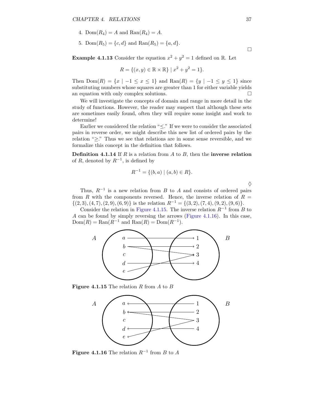- <span id="page-43-2"></span>4.  $Dom(R_4) = A$  and  $Ran(R_4) = A$ .
- 5. Dom $(R_5) = \{c, d\}$  and  $\text{Ran}(R_5) = \{a, d\}.$

**Example 4.1.13** Consider the equation  $x^2 + y^2 = 1$  defined on R. Let

$$
R = \{(x, y) \in \mathbb{R} \times \mathbb{R}\} \mid x^2 + y^2 = 1\}.
$$

Then  $Dom(R) = \{x \mid -1 \le x \le 1\}$  and  $Ran(R) = \{y \mid -1 \le y \le 1\}$  since substituting numbers whose squares are greater than 1 for either variable yields an equation with only complex solutions.  $\Box$ 

We will investigate the concepts of domain and range in more detail in the study of functions. However, the reader may suspect that although these sets are sometimes easily found, often they will require some insight and work to determine!

Earlier we considered the relation " $\leq$ ." If we were to consider the associated pairs in reverse order, we might describe this new list of ordered pairs by the relation "≥." Thus we see that relations are in some sense reversible, and we formalize this concept in the definition that follows.

**Definition 4.1.14** If *R* is a relation from *A* to *B*, then the **inverse relation** of  $R$ , denoted by  $R^{-1}$ , is defined by

$$
R^{-1} = \{(b, a) \mid (a, b) \in R\}.
$$

 $\Diamond$ 

Thus,  $R^{-1}$  is a new relation from *B* to *A* and consists of ordered pairs from *R* with the components reversed. Hence, the inverse relation of  $R =$  $\{(2,3), (4,7), (2,9), (6,9)\}\$ is the relation  $R^{-1} = \{(3,2), (7,4), (9,2), (9,6)\}.$ 

Consider the relation in [Figure](#page-43-0) [4.1.15.](#page-43-0) The inverse relation  $R^{-1}$  from *B* to *A* can be found by simply reversing the arrows [\(Figure](#page-43-1) [4.1.16\)](#page-43-1). In this case,  $Dom(R) = Ran(R^{-1}$  and  $Ran(R) = Dom(R^{-1})$ .

<span id="page-43-0"></span>

<span id="page-43-1"></span>**Figure 4.1.15** The relation *R* from *A* to *B*



**Figure 4.1.16** The relation *R*<sup>−</sup><sup>1</sup> from *B* to *A*

 $\hfill \square$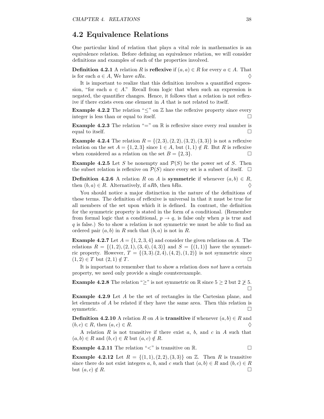## <span id="page-44-0"></span>**4.2 Equivalence Relations**

One particular kind of relation that plays a vital role in mathematics is an equivalence relation. Before defining an equivalence relation, we will consider definitions and examples of each of the properties involved.

**Definition 4.2.1** A relation *R* is **reflexive** if  $(a, a) \in R$  for every  $a \in A$ . That is for each  $a \in A$ , We have  $aRa$ .

It is important to realize that this definition involves a quantified expression, "for each  $a \in A$ ." Recall from logic that when such an expression is negated, the quantifier changes. Hence, it follows that a relation is not reflexive if there exists even one element in *A* that is not related to itself.

**Example 4.2.2** The relation " $\leq$ " on  $\mathbb{Z}$  has the reflexive property since every integer is less than or equal to itself.

**Example 4.2.3** The relation "=" on  $\mathbb{R}$  is reflexive since every real number is equal to itself.

**Example 4.2.4** The relation  $R = \{(2, 3), (2, 2), (3, 2), (3, 3)\}$  is not a reflexive relation on the set  $A = \{1, 2, 3\}$  since  $1 \in A$ , but  $(1, 1) \notin R$ . But R is reflexive when considered as a relation on the set  $B = \{2, 3\}.$ 

**Example 4.2.5** Let *S* be nonempty and  $\mathcal{P}(S)$  be the power set of *S*. Then the subset relation is reflexive on  $\mathcal{P}(S)$  since every set is a subset of itself.  $\Box$ 

**Definition 4.2.6** A relation *R* on *A* is **symmetric** if whenever  $(a, b) \in R$ , then  $(b, a) \in R$ . Alternatively, if *aRb*, then *bRa*.  $\diamondsuit$ 

You should notice a major distinction in the nature of the definitions of these terms. The definition of reflexive is universal in that it must be true for all members of the set upon which it is defined. In contrast, the definition for the symmetric property is stated in the form of a conditional. (Remember from formal logic that a conditional,  $p \rightarrow q$ , is false only when p is true and *q* is false.) So to show a relation is not symmetric we must be able to find an ordered pair  $(a, b)$  in  $R$  such that  $(b, a)$  is not in  $R$ .

**Example 4.2.7** Let  $A = \{1, 2, 3, 4\}$  and consider the given relations on *A*. The relations  $R = \{(1, 2), (2, 1), (3, 4), (4, 3)\}$  and  $S = \{(1, 1)\}$  have the symmetric property. However,  $T = \{(3, 3), (2, 4), (4, 2), (1, 2)\}$  is not symmetric since  $(1,2) \in T$  but  $(2,1) \notin T$ .

It is important to remember that to show a relation does *not* have a certain property, we need only provide a single counterexample.

**Example 4.2.8** The relation "≥" is not symmetric on R since  $5 \geq 2$  but  $2 \not\geq 5$ .  $\Box$ 

**Example 4.2.9** Let *A* be the set of rectangles in the Cartesian plane, and let elements of *A* be related if they have the same area. Then this relation is symmetric.  $\Box$ 

**Definition 4.2.10** A relation *R* on *A* is **transitive** if whenever  $(a, b) \in R$  and  $(b, c) \in R$ , then  $(a, c) \in R$ .

A relation *R* is not transitive if there exist *a*, *b*, and *c* in *A* such that  $(a, b) \in R$  and  $(b, c) \in R$  but  $(a, c) \notin R$ .

**Example 4.2.11** The relation " $\lt$ " is transitive on R.

**Example 4.2.12** Let  $R = \{(1, 1), (2, 2), (3, 3)\}$  on  $\mathbb{Z}$ . Then *R* is transitive since there do not exist integers a, b, and c such that  $(a, b) \in R$  and  $(b, c) \in R$ but  $(a, c) \notin R$ .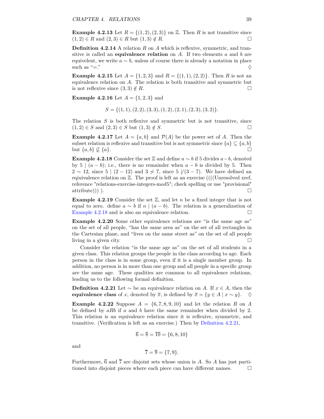<span id="page-45-4"></span>**Example 4.2.13** Let  $R = \{(1, 2), (2, 3)\}$  on  $\mathbb{Z}$ . Then *R* is not transitive since  $(1, 2) \in R$  and  $(2, 3) \in R$  but  $(1, 3) \notin R$ .

**Definition 4.2.14** A relation *R* on *A* which is reflexive, symmetric, and transitive is called an **equivalence relation** on *A*. If two elements *a* and *b* are equivelent, we write  $a \sim b$ , unless of course there is already a notation in place such as "=."  $\Diamond$ 

**Example 4.2.15** Let  $A = \{1, 2, 3\}$  and  $R = \{(1, 1), (2, 2)\}$ . Then *R* is not an equivalence relation on *A*. The relation is both transitive and symmetric but is not reflexive since  $(3,3) \notin R$ .

**Example 4.2.16** Let  $A = \{1, 2, 3\}$  and

$$
S = \{(1,1), (2,2), (3,3), (1,2), (2,1), (2,3), (3,2)\}.
$$

The relation *S* is both reflexive and symmetric but is not transitive, since  $(1,2) \in S$  and  $(2,3) \in S$  but  $(1,3) \notin S$ .

**Example 4.2.17** Let  $A = \{a, b\}$  and  $\mathcal{P}(A)$  be the power set of *A*. Then the subset relation is reflexive and transitive but is not symmetric since  $\{a\} \subseteq \{a, b\}$ but  $\{a, b\} \nsubseteq \{a\}.$ 

<span id="page-45-0"></span>**Example 4.2.18** Consider the set  $\mathbb{Z}$  and define  $a \sim b$  if 5 divides  $a - b$ , denoted by 5 |  $(a - b)$ ; i.e., there is no remainder when  $a - b$  is divided by 5. Then  $2 \sim 12$ , since  $5 \mid (2 - 12)$  and  $3 \not\sim 7$ , since  $5 \mid (3 - 7)$ . We have defined an equivalence relation on  $\mathbb{Z}$ . The proof is left as an exercise ((((Unresolved xref, reference "relations-exercise-integers-mod5"; check spelling or use "provisional"  $\Box$  attribute))) ).

<span id="page-45-3"></span>**Example 4.2.19** Consider the set  $\mathbb{Z}$ , and let *n* be a fixed integer that is not equal to zero. define  $a \sim b$  if  $n \mid (a - b)$ . The relation is a generalization of [Example](#page-45-0) [4.2.18](#page-45-0) and is also an equivalence relation.

**Example 4.2.20** Some other equivalence relations are "is the same age as" on the set of all people, "has the same area as" on the set of all rectangles in the Cartesian plane, and "lives on the same street as" on the set of all people living in a given city.

Consider the relation "is the same age as" on the set of all students in a given class. This relation groups the people in the class according to age. Each person in the class is in some group, even if it is a single member group. In addition, no person is in more than one group and all people in a specific group are the same age. These qualities are common to all equivalence relations, leading us to the following formal definition.

<span id="page-45-1"></span>**Definition 4.2.21** Let  $\sim$  be an equivalence relation on *A*. If *x* ∈ *A*, then the **equivalence class** of *x*, denoted by  $\overline{x}$ , is defined by  $\overline{x} = \{y \in A \mid x \sim y\}$ .  $\diamond$ 

<span id="page-45-2"></span>**Example 4.2.22** Suppose  $A = \{6, 7, 8, 9, 10\}$  and let the relation R on A be defined by *aRb* if *a* and *b* have the same remainder when divided by 2. This relation is an equivalence relation since it is reflexive, symmetric, and transitive. (Verification is left as an exercise.) Then by [Definition](#page-45-1) [4.2.21,](#page-45-1)

$$
\overline{6} = \overline{8} = \overline{10} = \{6, 8, 10\}
$$

and

$$
\overline{7} = \overline{9} = \{7, 9\}.
$$

Furthermore,  $\overline{6}$  and  $\overline{7}$  are disjoint sets whose union is *A*. So *A* has just partitioned into disjoint pieces where each piece can have different names.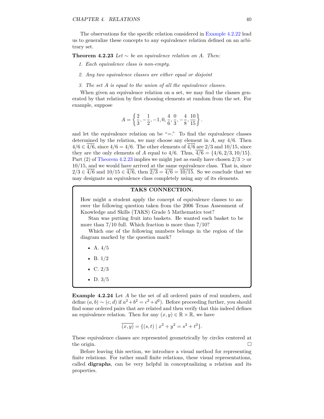<span id="page-46-1"></span>The observations for the specific relation considered in [Example](#page-45-2) [4.2.22](#page-45-2) lead us to generalize these concepts to any equivalence relation defined on an arbitrary set.

<span id="page-46-0"></span>**Theorem 4.2.23** *Let*  $\sim$  *be an equivalence relation on A. Then:* 

- *1. Each equivalence class is non-empty.*
- *2. Any two equivalence classes are either equal or disjoint*
- *3. The set A is equal to the union of all the equivalence classes.*

When given an equivalence relation on a set, we may find the classes generated by that relation by first choosing elements at random from the set. For example, suppose

$$
A = \left\{ \frac{2}{3}, -\frac{1}{2}, -1, 0, \frac{4}{6}, \frac{0}{3}, -\frac{4}{8}, \frac{10}{15} \right\}.
$$

and let the equivalence relation on be " $=$ ." To find the equivalence classes determined by the relation, we may choose any element in *A*, say 4*/*6. Then 4*/*6 ∈ 4*/*6, since 4*/*6 = 4*/*6. The other elements of 4*/*6 are 2*/*3 and 10*/*15, since they are the only elements of *A* equal to  $4/6$ . Thus,  $4/6 = \{4/6, 2/3, 10/15\}$ . Part (2) of [Theorem](#page-46-0) [4.2.23](#page-46-0) implies we might just as easily have chosen 2*/*3 *>* or 10*/*15, and we would have arrived at the same equivalence class. That is, since 2/3 ∈  $\overline{4/6}$  and  $10/15 \in \overline{4/6}$ , then  $\overline{2/3} = \overline{4/6} = \overline{10/15}$ . So we conclude that we may designate an equivalence class completely using any of its elements.

#### **TAKS CONNECTION.**

How might a student apply the concept of equivalence classes to answer the following question taken from the 2006 Texas Assessment of Knowledge and Skills (TAKS) Grade 5 Mathematics test?

Stan was putting fruit into baskets. He wanted each basket to be more than 7*/*10 full. Which fraction is more than 7*/*10?

Which one of the following numbers belongs in the region of the diagram marked by the question mark?

- A. 4*/*5
- B. 1*/*2
- C. 2*/*3
- D. 3*/*5

**Example 4.2.24** Let *A* be the set of all ordered pairs of real numbers, and define  $(a, b) \sim (c, d)$  if  $a^2 + b^2 = c^2 + d^2$ ). Before proceeding further, you should find some ordered pairs that are related and then verify that this indeed defines an equivalence relation. Then for any  $(x, y) \in \mathbb{R} \times \mathbb{R}$ , we have

$$
\overline{(x,y)} = \{ (s,t) \mid x^2 + y^2 = s^2 + t^2 \}.
$$

These equivalence classes are represented geometrically by circles centered at the origin.  $\Box$ 

Before leaving this section, we introduce a visual method for representing finite relations. For rather small finite relations, these visual representations, called **digraphs**, can be very helpful in conceptualizing a relation and its properties.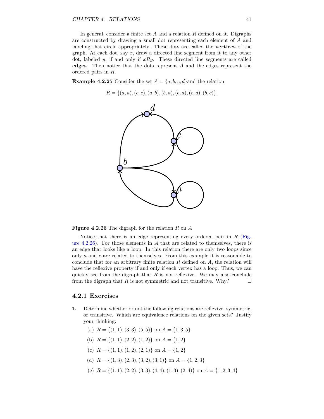In general, consider a finite set *A* and a relation *R* defined on it. Digraphs are constructed by drawing a small dot representing each element of *A* and labeling that circle appropriately. These dots are called the **vertices** of the graph. At each dot, say *x*, draw a directed line segment from it to any other dot, labeled *y*, if and only if *xRy*. These directed line segments are called **edges**. Then notice that the dots represent *A* and the edges represent the ordered pairs in *R*.

<span id="page-47-0"></span>**Example 4.2.25** Consider the set  $A = \{a, b, c, d\}$  and the relation

$$
R = \{(a, a), (c, c), (a, b), (b, a), (b, d), (c, d), (b, c)\}.
$$



**Figure 4.2.26** The digraph for the relation *R* on *A*

Notice that there is an edge representing every ordered pair in *R* [\(Fig](#page-47-0)ure [4.2.26\)](#page-47-0). For those elements in *A* that are related to themselves, there is an edge that looks like a loop. In this relation there are only two loops since only *a* and *c* are related to themselves. From this example it is reasonable to conclude that for an arbitrary finite relation *R* defined on *A*, the relation will have the reflexive property if and only if each vertex has a loop. Thus, we can quickly see from the digraph that *R* is not reflexive. We may also conclude from the digraph that *R* is not symmetric and not transitive. Why?  $\square$ 

#### **4.2.1 Exercises**

- **1.** Determine whether or not the following relations are reflexive, symmetric, or transitive. Which are equivalence relations on the given sets? Justify your thinking.
	- (a)  $R = \{(1, 1), (3, 3), (5, 5)\}$  on  $A = \{1, 3, 5\}$
	- (b)  $R = \{(1, 1), (2, 2), (1, 2)\}$  on  $A = \{1, 2\}$
	- (c)  $R = \{(1, 1), (1, 2), (2, 1)\}$  on  $A = \{1, 2\}$
	- (d)  $R = \{(1,3), (2,3), (3,2), (3,1)\}$  on  $A = \{1,2,3\}$
	- (e)  $R = \{(1, 1), (2, 2), (3, 3), (4, 4), (1, 3), (2, 4)\}$  on  $A = \{1, 2, 3, 4\}$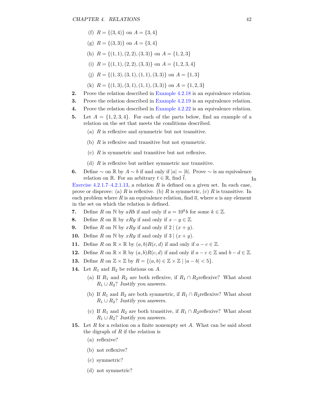- (f)  $R = \{(3, 4)\}\$  on  $A = \{3, 4\}$
- (g)  $R = \{(3,3)\}\$  on  $A = \{3,4\}$
- (h)  $R = \{(1, 1), (2, 2), (3, 3)\}$  on  $A = \{1, 2, 3\}$
- (i)  $R = \{(1, 1), (2, 2), (3, 3)\}$  on  $A = \{1, 2, 3, 4\}$
- (j)  $R = \{(1,3), (3,1), (1,1), (3,3)\}$  on  $A = \{1,3\}$
- (k)  $R = \{(1,3), (3,1), (1,1), (3,3)\}$  on  $A = \{1,2,3\}$
- **2.** Prove the relation described in [Example](#page-45-0) [4.2.18](#page-45-0) is an equivalence relation.
- **3.** Prove the relation described in [Example](#page-45-3) [4.2.19](#page-45-3) is an equivalence relation.
- **4.** Prove the relation described in [Example](#page-45-2) [4.2.22](#page-45-2) is an equivalence relation.
- **5.** Let  $A = \{1, 2, 3, 4\}$ . For each of the parts below, find an example of a relation on the set that meets the conditions described.
	- (a) *R* is reflexive and symmetric but not transitive.
	- (b) *R* is reflexive and transitive but not symmetric.
	- (c) *R* is symmetric and transitive but not reflexive.
	- (d) *R* is reflexive but neither symmetric nor transitive.
- **6.** Define  $\sim$  on ℝ by  $A \sim b$  if and only if  $|a| = |b|$ . Prove  $\sim$  is an equivalence relation on R. For an arbitrary  $t \in \mathbb{R}$ , find  $\overline{t}$ . In

[Exercise 4.2.1.7–4.2.1.13,](#page-48-0) a relation *R* is defined on a given set. In each case, prove or disprove: (a) *R* is reflexive. (b) *R* is symmetric, (c) *R* is transitive. In each problem where  $R$  is an equivalence relation, find  $\bar{a}$ , where  $a$  is any element in the set on which the relation is defined.

- **7.** Define *R* on  $\mathbb{N}$  by *aRb* if and only if  $a = 10^k b$  for some  $k \in \mathbb{Z}$ .
- <span id="page-48-0"></span>**8.** Define *R* on  $\mathbb{R}$  by *xRy* if and only if  $x - y \in \mathbb{Z}$ .
- **9.** Define *R* on N by  $xRy$  if and only if  $2|(x+y)$ .
- **10.** Define *R* on N by *xRy* if and only if  $3 | (x + y)$ .
- **11.** Define *R* on  $\mathbb{R} \times \mathbb{R}$  by  $(a, b)R(c, d)$  if and only if  $a c \in \mathbb{Z}$ .
- **12.** Define *R* on  $\mathbb{R} \times \mathbb{R}$  by  $(a, b)R(c, d)$  if and only if  $a c \in \mathbb{Z}$  and  $b d \in \mathbb{Z}$ .
- **13.** Define  $R$  on  $\mathbb{Z} \times \mathbb{Z}$  by  $R = \{(a, b) \in \mathbb{Z} \times \mathbb{Z} \mid |a b| < 5\}.$
- **14.** Let  $R_1$  and  $R_2$  be relations on  $A$ .
	- (a) If  $R_1$  and  $R_2$  are both reflexive, if  $R_1 \cap R_2$ reflexive? What about  $R_1 \cup R_2$ ? Justify you answers.
	- (b) If  $R_1$  and  $R_2$  are both symmetric, if  $R_1 \cap R_2$ reflexive? What about  $R_1 \cup R_2$ ? Justify you answers.
	- (c) If  $R_1$  and  $R_2$  are both transitive, if  $R_1 \cap R_2$ reflexive? What about  $R_1 \cup R_2$ ? Justify you answers.
- **15.** Let *R* for a relation on a finite nonempty set *A*. What can be said about the digraph of *R* if the relation is
	- (a) reflexive?
	- (b) not reflexive?
	- (c) symmetric?
	- (d) not symmetric?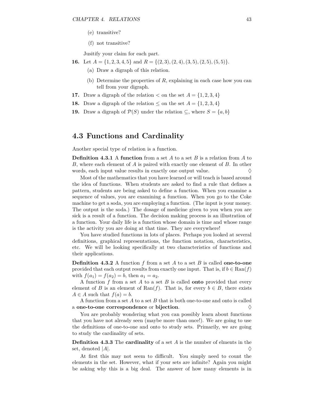- <span id="page-49-0"></span>(e) transitive?
- (f) not transitive?

Jusitify your claim for each part.

- **16.** Let  $A = \{1, 2, 3, 4, 5\}$  and  $R = \{(2, 3), (2, 4), (3, 5), (2, 5), (5, 5)\}.$ 
	- (a) Draw a digraph of this relation.
	- (b) Determine the properties of *R*, explaining in each case how you can tell from your digraph.
- **17.** Draw a digraph of the relation  $\lt$  on the set  $A = \{1, 2, 3, 4\}$
- **18.** Draw a digraph of the relation  $\leq$  on the set  $A = \{1, 2, 3, 4\}$
- **19.** Draw a digraph of  $\mathcal{P}(S)$  under the relation  $\subseteq$ , where  $S = \{a, b\}$

## **4.3 Functions and Cardinality**

Another special type of relation is a function.

**Definition 4.3.1** A **function** from a set *A* to a set *B* is a relation from *A* to *B*, where each element of *A* is paired with exactly one element of *B*. In other words, each input value results in exactly one output value.  $\Diamond$ 

Most of the mathematics that you have learned or will teach is based around the idea of functions. When students are asked to find a rule that defines a pattern, students are being asked to define a function. When you examine a sequence of values, you are examining a function. When you go to the Coke machine to get a soda, you are employing a function. (The input is your money. The output is the soda.) The dosage of medicine given to you when you are sick is a result of a function. The decision making process is an illustration of a function. Your daily life is a function whose domain is time and whose range is the activity you are doing at that time. They are everywhere!

You have studied functions in lots of places. Perhaps you looked at several definitions, graphical representations, the function notation, characteristics, etc. We will be looking specifically at two characteristics of functions and their applications.

**Definition 4.3.2** A function *f* from a set *A* to a set *B* is called **one-to-one** provided that each output results from exactly one input. That is, if  $b \in \text{Ran}(f)$ with  $f(a_1) = f(a_2) = b$ , then  $a_1 = a_2$ .

A function *f* from a set *A* to a set *B* is called **onto** provided that every element of *B* is an element of Ran(*f*). That is, for every  $b \in B$ , there exists  $A \in A$  such that  $f(a) = b$ .

A function from a set *A* to a set *B* that is both one-to-one and onto is called a **one-to-one** correspondence or bijection.

You are probably wondering what you can possibly learn about functions that you have not already seen (maybe more than once!). We are going to use the definitions of one-to-one and onto to study sets. Primarily, we are going to study the cardinality of sets.

**Definition 4.3.3** The **cardinality** of a set *A* is the number of elments in the set, denoted  $|A|$ .

At first this may not seem to difficult. You simply need to count the elements in the set. However, what if your sets are infinite? Again you might be asking why this is a big deal. The answer of how many elements is in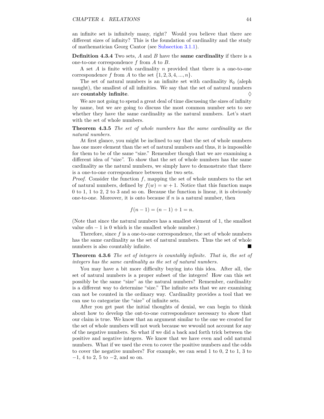<span id="page-50-0"></span>an infinite set is infinitely many, right? Would you believe that there are different sizes of infinity? This is the foundation of cardinality and the study of mathematician Georg Cantor (see [Subsection](#page-36-1) [3.1.1\)](#page-36-1).

**Definition 4.3.4** Two sets, *A* and *B* have the **same cardinality** if there is a one-to-one correspondence *f* from *A* to *B*.

A set *A* is finite with cardinality *n* provided that there is a one-to-one correspondence  $f$  from  $\overline{A}$  to the set  $\{1, 2, 3, 4, \ldots, n\}$ .

The set of natural numbers is an infinite set with cardinality  $\aleph_0$  (aleph naught), the smallest of all infinities. We say that the set of natural numbers are **countably infinite**.  $\Diamond$ 

We are not going to spend a great deal of time discussing the sizes of infinity by name, but we are going to discuss the most common number sets to see whether they have the same cardinality as the natural numbers. Let's start with the set of whole numbers.

**Theorem 4.3.5** *The set of whole numbers has the same cardinality as the natural numbers.*

At first glance, you might be inclined to say that the set of whole numbers has one more element than the set of natural numbers and thus, it is impossible for them to be of the same "size." Remember though that we are examining a different idea of "size". To show that the set of whole numbers has the same cardinality as the natural numbers, we simply have to demonstrate that there is a one-to-one correspondence between the two sets.

*Proof.* Consider the function *f*, mapping the set of whole numbers to the set of natural numbers, defined by  $f(w) = w + 1$ . Notice that this function maps 0 to 1, 1 to 2, 2 to 3 and so on. Because the function is linear, it is obviously one-to-one. Moreover, it is onto because if *n* is a natural number, then

$$
f(n-1) = (n-1) + 1 = n.
$$

(Note that since the natural numbers has a smallest element of 1, the smallest value of $n-1$  is 0 which is the smallest whole number.)

Therefore, since *f* is a one-to-one correspondence, the set of whole numbers has the same cardinality as the set of natural numbers. Thus the set of whole numbers is also countably infinite.

**Theorem 4.3.6** *The set of integers is countably infinite. That is, the set of integers has the same cardinality as the set of natural numbers.*

You may have a bit more difficulty buying into this idea. After all, the set of natural numbers is a proper subset of the integers! How can this set possibly be the same "size" as the natural numbers? Remember, cardinality is a different way to determine "size." The infinite sets that we are examining can not be counted in the ordinary way. Cardinality provides a tool that we can use to categorize the "size" of infinite sets.

After you get past the initial thoughts of denial, we can begin to think about how to develop the ont-to-one correspondence necessary to show that our claim is true. We know that an argument similar to the one we created for the set of whole numbers will not work because we wwould not account for any of the negative numbers. So what if we did a back and forth trick between the positive and negative integers. We know that we have even and odd natural numbers. What if we used the even to cover the positive numbers and the odds to cover the negative numbers? For example, we can send 1 to 0, 2 to 1, 3 to −1, 4 to 2, 5 to −2, and so on.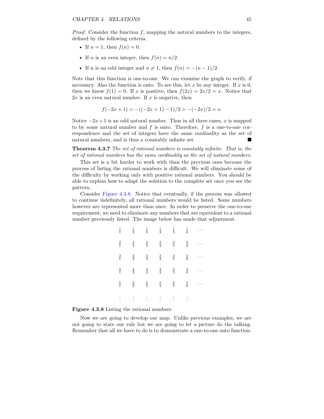*Proof.* Consider the function f, mapping the natural numbers to the integers, defined by the following criteria.

- If  $n = 1$ , then  $f(n) = 0$ .
- If *n* is an even integer, then  $f(n) = n/2$ .
- If n is an odd integer and  $n \neq 1$ , then  $f(n) = -(n-1)/2$ .

Note that this function is one-to-one. We can examine the graph to verify, if necessary. Also the function is onto. To see this, let *x* be any integer. If *x* is 0, then we know  $f(1) = 0$ . If *x* is positive, then  $f(2x) = 2x/2 = x$ . Notice that  $2x$  is an even natural number. If x is negative, then

$$
f(-2x+1) = -((-2x+1)-1)/2 = -(-2x)/2 = x.
$$

Notice  $-2x+1$  is an odd natural number. Thus in all three cases, *x* is mapped to by some natural number and *f* is onto. Therefore, *f* is a one-to-one correspondence and the set of integers have the same cardinality as the set of natural numbers, and is thus a countably infinite set.

**Theorem 4.3.7** *The set of rational numbers is countably infinite. That is, the set of rational numbers has the same cardinality as the set of natural numbers.*

This set is a bit harder to work with than the previous ones because the process of listing the rational numbers is difficult. We will eliminate some of the difficulty by working only with positive rational numbers. You should be able to explain how to adapt the solution to the complete set once you see the pattern.

<span id="page-51-0"></span>Consider [Figure](#page-51-0) [4.3.8.](#page-51-0) Notice that eventually, if the process was allowed to continue indefinitely, all rational numbers would be listed. Some numbers however are represented more than once. In order to preserve the one-to-one requirement, we need to eliminate any numbers that are equivalent to a rational number previously listed. The image below has made that adjustment.

| $\frac{1}{1}$ | $\frac{1}{2}$ | $\frac{1}{3}$ | $\frac{1}{4}$ | $\frac{1}{5}$ | $\frac{1}{6}$ |  |
|---------------|---------------|---------------|---------------|---------------|---------------|--|
| $\frac{2}{1}$ | $\frac{2}{2}$ | $\frac{2}{3}$ | $\frac{2}{4}$ | $\frac{2}{5}$ | $\frac{2}{6}$ |  |
| $\frac{3}{1}$ | $\frac{3}{2}$ | $\frac{3}{3}$ | $\frac{3}{4}$ | $\frac{3}{5}$ | $\frac{3}{6}$ |  |
| $\frac{4}{1}$ | $\frac{4}{2}$ | $\frac{4}{3}$ | $\frac{4}{4}$ | $\frac{4}{5}$ | $\frac{4}{6}$ |  |
| $\frac{5}{1}$ | $\frac{5}{2}$ | $\frac{5}{3}$ | $\frac{5}{4}$ | $\frac{5}{5}$ | $\frac{5}{6}$ |  |
|               | $\vdots$      | $\vdots$      |               | $\vdots$      |               |  |

#### **Figure 4.3.8** Listing the rational numbers

Now we are going to develop our map. Unlike previous examples, we are not going to state our rule but we are going to let a picture do the talking. Remember that all we have to do is to demonstrate a one-to-one onto function.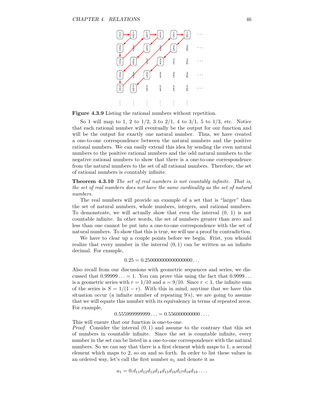

**Figure 4.3.9** Listing the rational numbers without repetition.

So 1 will map to 1, 2 to 1*/*2, 3 to 2*/*1, 4 to 3*/*1, 5 to 1*/*3, etc. Notice that each rational number will eventually be the output for our function and will be the output for exactly one natural number. Thus, we have created a one-to-one correspondence between the natural numbers and the positive rational numbers. We can easily extend this idea by sending the even natural numbers to the positive rational numbers and the odd natural numbers to the negative rational numbers to show that there is a one-to-one correspondence from the natural numbers to the set of all rational numbers. Therefore, the set of rational numbers is countably infinite.

**Theorem 4.3.10** *The set of real numbers is not countably infinite. That is, the set of real numbers does not have the same cardinality as the set of natural numbers.*

The real numbers will provide an example of a set that is "larger" than the set of natural numbers, whole numbers, integers, and rational numbers. To demonstrate, we will actually show that even the interval (0, 1) is not countable infinite. In other words, the set of numbers greater than zero and less than one cannot be put into a one-to-one correspondence with the set of natural numbers. To show that this is true, we will use a proof by contradiction.

We have to clear up a couple points before we begin. Frist, you whould realize that every number in the interval  $(0,1)$  can be written as an infinite decimal. For example,

 $0.25 = 0.250000000000000000...$ 

Also recall from our discussions with geometric sequences and series, we discussed that  $0.99999... = 1$ . You can prove this using the fact that  $0.9999...$ is a geometric series with  $r = 1/10$  and  $a = 9/10$ . Since  $r < 1$ , the infinite sum of the series is  $S = 1/(1 - r)$ . With this in mind, anytime that we have this situation occur (a infinite number of repeating 9's), we are going to assume that we will equate this number with its equivalency in terms of repeated zeros. For example,

 $0.55599999999999... = 0.556000000000...$ 

This will ensure that our function is one-to-one. *Proof.* Consider the interval (0*,* 1) and assume to the contrary that this set of numbers in countable infinite. Since the set is countable infinite, every number in the set can be listed in a one-to-one correspondence with the natural numbers. So we can say that there is a first element which maps to 1, a second element which maps to 2, so on and so forth. In order to list these values in an ordered way, let's call the first number  $a_1$  and denote it as

$$
a_1 = 0.d_{11}d_{12}d_{13}d_{14}d_{15}d_{16}d_{17}d_{18}d_{19}\ldots,
$$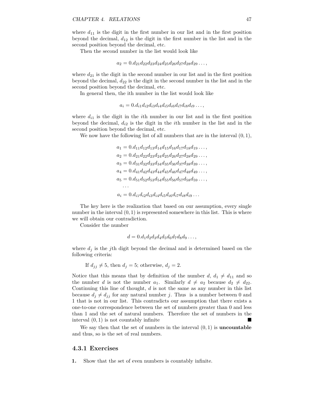where  $d_{11}$  is the digit in the first number in our list and in the first position beyond the decimal, *d*<sup>12</sup> is the digit in the first number in the list and in the second position beyond the decimal, etc.

Then the second number in the list would look like

 $a_2 = 0.d_{21}d_{22}d_{23}d_{24}d_{25}d_{26}d_{27}d_{28}d_{29} \ldots$ 

where  $d_{21}$  is the digit in the second number in our list and in the first position beyond the decimal, *d*<sup>22</sup> is the digit in the second number in the list and in the second position beyond the decimal, etc.

In general then, the ith number in the list would look like

$$
a_i = 0.d_{i1}d_{i2}d_{i3}d_{i4}d_{i5}d_{i6}d_{i7}d_{i8}d_{i9} \ldots,
$$

where  $d_{i1}$  is the digit in the *i*th number in our list and in the first position beyond the decimal, *di*<sup>2</sup> is the digit in the *i*th number in the list and in the second position beyond the decimal, etc.

We now have the following list of all numbers that are in the interval (0*,* 1),

$$
a_1 = 0.d_{11}d_{12}d_{13}d_{14}d_{15}d_{16}d_{17}d_{18}d_{19} \dots,
$$
  
\n
$$
a_2 = 0.d_{21}d_{22}d_{23}d_{24}d_{25}d_{26}d_{27}d_{28}d_{29} \dots,
$$
  
\n
$$
a_3 = 0.d_{31}d_{32}d_{33}d_{34}d_{35}d_{36}d_{37}d_{38}d_{39} \dots,
$$
  
\n
$$
a_4 = 0.d_{41}d_{42}d_{43}d_{44}d_{45}d_{46}d_{47}d_{48}d_{49} \dots,
$$
  
\n
$$
a_5 = 0.d_{51}d_{52}d_{53}d_{54}d_{55}d_{56}d_{57}d_{58}d_{59} \dots,
$$
  
\n
$$
\dots
$$
  
\n
$$
a_i = 0.d_{i1}d_{i2}d_{i3}d_{i4}d_{i5}d_{i6}d_{i7}d_{i8}d_{i9} \dots
$$

The key here is the realization that based on our assumption, every single number in the interval  $(0, 1)$  is represented somewhere in this list. This is where we will obtain our contradiction.

Consider the number

$$
d = 0.d_1d_2d_3d_4d_5d_6d_7d_8d_9\ldots,
$$

where  $d_j$  is the *j*th digit beyond the decimal and is determined based on the following criteria:

If  $d_{ij} \neq 5$ , then  $d_j = 5$ ; otherwise,  $d_j = 2$ .

Notice that this means that by definition of the number  $d, d_1 \neq d_{11}$  and so the number *d* is not the number  $a_1$ . Similarly  $d \neq a_2$  because  $d_2 \neq d_{22}$ . Continuing this line of thought, *d* is not the same as any number in this list because  $d_j \neq d_{ij}$  for any natural number *j*. Thus is a number between 0 and 1 that is not in our list. This contradicts our assumption that there exists a one-to-one correspondence between the set of numbers greater than 0 and less than 1 and the set of natural numbers. Therefore the set of numbers in the interval (0*,* 1) is not countably infinite

We say then that the set of numbers in the interval  $(0,1)$  is **uncountable** and thus, so is the set of real numbers.

#### **4.3.1 Exercises**

**1.** Show that the set of even numbers is countably infinite.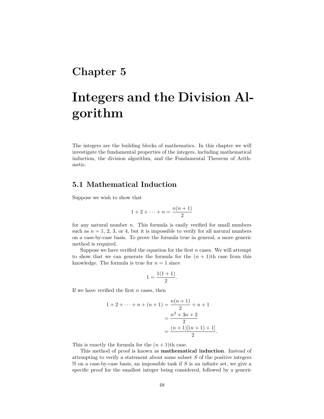# **Chapter 5**

# **Integers and the Division Algorithm**

The integers are the building blocks of mathematics. In this chapter we will investigate the fundamental properties of the integers, including mathematical induction, the division algorithm, and the Fundamental Theorem of Arithmetic.

# **5.1 Mathematical Induction**

Suppose we wish to show that

$$
1 + 2 + \dots + n = \frac{n(n+1)}{2}
$$

for any natural number *n*. This formula is easily verified for small numbers such as  $n = 1, 2, 3$ , or 4, but it is impossible to verify for all natural numbers on a case-by-case basis. To prove the formula true in general, a more generic method is required.

Suppose we have verified the equation for the first *n* cases. We will attempt to show that we can generate the formula for the  $(n + 1)$ th case from this knowledge. The formula is true for  $n = 1$  since

$$
1 = \frac{1(1+1)}{2}.
$$

If we have verified the first *n* cases, then

$$
1 + 2 + \dots + n + (n + 1) = \frac{n(n + 1)}{2} + n + 1
$$

$$
= \frac{n^2 + 3n + 2}{2}
$$

$$
= \frac{(n + 1)[(n + 1) + 1]}{2}.
$$

This is exactly the formula for the  $(n+1)$ <sup>th</sup> case.

This method of proof is known as **mathematical induction**. Instead of attempting to verify a statement about some subset *S* of the positive integers N on a case-by-case basis, an impossible task if *S* is an infinite set, we give a specific proof for the smallest integer being considered, followed by a generic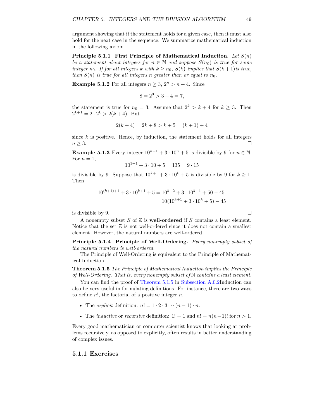<span id="page-55-1"></span>argument showing that if the statement holds for a given case, then it must also hold for the next case in the sequence. We summarize mathematical induction in the following axiom.

**Principle 5.1.1 First Principle of Mathematical Induction.** *Let S*(*n*) *be a statement about integers for*  $n \in \mathbb{N}$  and suppose  $S(n_0)$  *is true for some integer*  $n_0$ *. If for all integers*  $k$  *with*  $k \geq n_0$ ,  $S(k)$  *implies that*  $S(k+1)$ *is true, then*  $S(n)$  *is true for all integers n* greater than or equal to  $n_0$ .

**Example 5.1.2** For all integers  $n \geq 3$ ,  $2^n > n+4$ . Since

$$
8 = 2^3 > 3 + 4 = 7,
$$

the statement is true for  $n_0 = 3$ . Assume that  $2^k > k + 4$  for  $k \geq 3$ . Then  $2^{k+1} = 2 \cdot 2^k > 2(k+4)$ . But

$$
2(k+4) = 2k + 8 > k + 5 = (k+1) + 4
$$

since  $k$  is positive. Hence, by induction, the statement holds for all integers  $n \geq 3$ .

**Example 5.1.3** Every integer  $10^{n+1} + 3 \cdot 10^n + 5$  is divisible by 9 for  $n \in \mathbb{N}$ . For  $n=1$ ,

$$
10^{1+1} + 3 \cdot 10 + 5 = 135 = 9 \cdot 15
$$

is divisible by 9. Suppose that  $10^{k+1} + 3 \cdot 10^k + 5$  is divisible by 9 for  $k > 1$ . Then

$$
10^{(k+1)+1} + 3 \cdot 10^{k+1} + 5 = 10^{k+2} + 3 \cdot 10^{k+1} + 50 - 45
$$
  
=  $10(10^{k+1} + 3 \cdot 10^k + 5) - 45$ 

is divisible by 9.  $\Box$ 

A nonempty subset *S* of Z is **well-ordered** if *S* contains a least element. Notice that the set  $\mathbb Z$  is not well-ordered since it does not contain a smallest element. However, the natural numbers are well-ordered.

**Principle 5.1.4 Principle of Well-Ordering.** *Every nonempty subset of the natural numbers is well-ordered.*

The Principle of Well-Ordering is equivalent to the Principle of Mathematical Induction.

<span id="page-55-0"></span>**Theorem 5.1.5** *The Principle of Mathematical Induction implies the Principle of Well-Ordering. That is, every nonempty subset of* N *contains a least element.*

You can find the proof of [Theorem](#page-55-0) [5.1.5](#page-55-0) in [Subsection](#page-61-0) [A.0.2I](#page-61-0)nduction can also be very useful in formulating definitions. For instance, there are two ways to define *n*!, the factorial of a positive integer *n*.

- The *explicit* definition:  $n! = 1 \cdot 2 \cdot 3 \cdots (n-1) \cdot n$ .
- The *inductive* or *recursive* definition:  $1! = 1$  and  $n! = n(n-1)!$  for  $n > 1$ .

Every good mathematician or computer scientist knows that looking at problems recursively, as opposed to explicitly, often results in better understanding of complex issues.

#### **5.1.1 Exercises**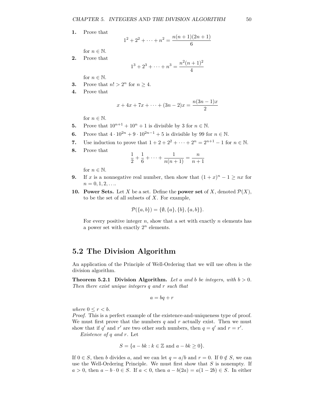<span id="page-56-0"></span>**1.** Prove that

$$
1^2 + 2^2 + \dots + n^2 = \frac{n(n+1)(2n+1)}{6}
$$

for  $n \in \mathbb{N}$ .

**2.** Prove that

$$
1^3 + 2^3 + \dots + n^3 = \frac{n^2(n+1)^2}{4}
$$

for  $n \in \mathbb{N}$ .

- **3.** Prove that  $n! > 2^n$  for  $n \geq 4$ .
- **4.** Prove that

$$
x + 4x + 7x + \dots + (3n - 2)x = \frac{n(3n - 1)x}{2}
$$

for  $n \in \mathbb{N}$ .

- **5.** Prove that  $10^{n+1} + 10^n + 1$  is divisible by 3 for  $n \in \mathbb{N}$ .
- **6.** Prove that  $4 \cdot 10^{2n} + 9 \cdot 10^{2n-1} + 5$  is divisible by 99 for  $n \in \mathbb{N}$ .
- **7.** Use induction to prove that  $1 + 2 + 2^2 + \cdots + 2^n = 2^{n+1} 1$  for  $n \in \mathbb{N}$ .
- **8.** Prove that

$$
\frac{1}{2} + \frac{1}{6} + \dots + \frac{1}{n(n+1)} = \frac{n}{n+1}
$$

for  $n \in \mathbb{N}$ .

- **9.** If *x* is a nonnegative real number, then show that  $(1 + x)^n 1 \ge nx$  for  $n = 0, 1, 2, \ldots$
- **10. Power Sets.** Let *X* be a set. Define the **power set** of *X*, denoted  $\mathcal{P}(X)$ , to be the set of all subsets of *X*. For example,

$$
\mathcal{P}(\{a,b\}) = \{\emptyset, \{a\}, \{b\}, \{a,b\}\}.
$$

For every positive integer *n*, show that a set with exactly *n* elements has a power set with exactly  $2^n$  elements.

## **5.2 The Division Algorithm**

An application of the Principle of Well-Ordering that we will use often is the division algorithm.

**Theorem 5.2.1 Division Algorithm.** Let a and b be integers, with  $b > 0$ . *Then there exist unique integers q and r such that*

$$
a = bq + r
$$

*where*  $0 \leq r < b$ *.* 

*Proof.* This is a perfect example of the existence-and-uniqueness type of proof. We must first prove that the numbers  $q$  and  $r$  actually exist. Then we must show that if  $q'$  and  $r'$  are two other such numbers, then  $q = q'$  and  $r = r'$ .

*Existence of q and r.* Let

$$
S = \{a - bk : k \in \mathbb{Z} \text{ and } a - bk \ge 0\}.
$$

If  $0 \in S$ , then *b* divides *a*, and we can let  $q = a/b$  and  $r = 0$ . If  $0 \notin S$ , we can use the Well-Ordering Principle. We must first show that *S* is nonempty. If *a* > 0, then  $a - b \cdot 0 \in S$ . If  $a < 0$ , then  $a - b(2a) = a(1-2b) \in S$ . In either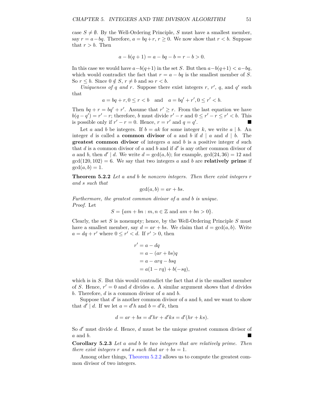<span id="page-57-1"></span>case  $S \neq \emptyset$ . By the Well-Ordering Principle, *S* must have a smallest member, say  $r = a - ba$ . Therefore,  $a = bq + r$ ,  $r > 0$ . We now show that  $r < b$ . Suppose that  $r > b$ . Then

$$
a - b(q + 1) = a - bq - b = r - b > 0.
$$

In this case we would have *a*−*b*(*q*+1) in the set *S*. But then *a*−*b*(*q*+1) *< a*−*bq*, which would contradict the fact that  $r = a - bq$  is the smallest member of *S*. So  $r \leq b$ . Since  $0 \notin S$ ,  $r \neq b$  and so  $r < b$ .

Uniqueness of *q* and *r*. Suppose there exist integers *r*, *r*<sup>*'*</sup>, *q*, and *q*<sup>*'*</sup> such that

 $a = bq + r, 0 \le r < b$  and  $a = bq' + r', 0 \le r' < b$ .

Then  $bq + r = bq' + r'$ . Assume that  $r' \geq r$ . From the last equation we have  $b(q - q') = r' - r$ ; therefore, *b* must divide  $r' - r$  and  $0 \leq r' - r \leq r' < b$ . This is possible only if  $r' - r = 0$ . Hence,  $r = r'$  and  $q = q'$ .

Let *a* and *b* be integers. If  $b = ak$  for some integer *k*, we write *a* | *b*. An integer *d* is called a **common divisor** of *a* and *b* if *d* | *a* and *d* | *b*. The **greatest common divisor** of integers *a* and *b* is a positive integer *d* such that  $d$  is a common divisor of  $a$  and  $b$  and if  $d'$  is any other common divisor of *a* and *b*, then  $d' | d$ . We write  $d = \gcd(a, b)$ ; for example,  $\gcd(24, 36) = 12$  and  $gcd(120, 102) = 6$ . We say that two integers *a* and *b* are **relatively prime** if  $gcd(a, b) = 1.$ 

<span id="page-57-0"></span>**Theorem 5.2.2** *Let a and b be nonzero integers. Then there exist integers r and s such that*

$$
\gcd(a, b) = ar + bs.
$$

*Furthermore, the greatest common divisor of a and b is unique. Proof.* Let

$$
S = \{ am + bn : m, n \in \mathbb{Z} \text{ and } am + bn > 0 \}.
$$

Clearly, the set *S* is nonempty; hence, by the Well-Ordering Principle *S* must have a smallest member, say  $d = ar + bs$ . We claim that  $d = \gcd(a, b)$ . Write  $a = dq + r'$  where  $0 \leq r' < d$ . If  $r' > 0$ , then

$$
r' = a - dq
$$
  
= a - (ar + bs)q  
= a - arq - bsq  
= a(1 - rq) + b(-sq),

which is in *S*. But this would contradict the fact that *d* is the smallest member of *S*. Hence,  $r' = 0$  and *d* divides *a*. A similar argument shows that *d* divides *b*. Therefore, *d* is a common divisor of *a* and *b*.

Suppose that  $d'$  is another common divisor of  $a$  and  $b$ , and we want to show that  $d' \mid d$ . If we let  $a = d'h$  and  $b = d'k$ , then

$$
d = ar + bs = d'hr + d'ks = d'(hr + ks).
$$

So *d'* must divide *d*. Hence, *d* must be the unique greatest common divisor of *a* and *b*.

**Corollary 5.2.3** *Let a and b be two integers that are relatively prime. Then there exist integers*  $r$  *and*  $s$  *such that*  $ar + bs = 1$ .

Among other things, [Theorem](#page-57-0) [5.2.2](#page-57-0) allows us to compute the greatest common divisor of two integers.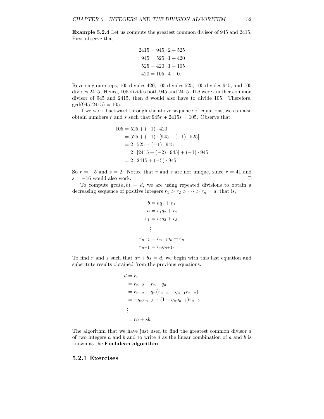<span id="page-58-0"></span>**Example 5.2.4** Let us compute the greatest common divisor of 945 and 2415. First observe that

$$
2415 = 945 \cdot 2 + 525
$$

$$
945 = 525 \cdot 1 + 420
$$

$$
525 = 420 \cdot 1 + 105
$$

$$
420 = 105 \cdot 4 + 0.
$$

Reversing our steps, 105 divides 420, 105 divides 525, 105 divides 945, and 105 divides 2415. Hence, 105 divides both 945 and 2415. If *d* were another common divisor of 945 and 2415, then *d* would also have to divide 105. Therefore,  $gcd(945, 2415) = 105.$ 

If we work backward through the above sequence of equations, we can also obtain numbers *r* and *s* such that  $945r + 2415s = 105$ . Observe that

$$
105 = 525 + (-1) \cdot 420
$$
  
= 525 + (-1) \cdot [945 + (-1) \cdot 525]  
= 2 \cdot 525 + (-1) \cdot 945  
= 2 \cdot [2415 + (-2) \cdot 945] + (-1) \cdot 945  
= 2 \cdot 2415 + (-5) \cdot 945.

So  $r = -5$  and  $s = 2$ . Notice that  $r$  and  $s$  are not unique, since  $r = 41$  and  $s = -16$  would also work.

To compute  $gcd(a, b) = d$ , we are using repeated divisions to obtain a decreasing sequence of positive integers  $r_1 > r_2 > \cdots > r_n = d$ ; that is,

$$
b = aq_1 + r_1
$$
  
\n
$$
a = r_1q_2 + r_2
$$
  
\n
$$
r_1 = r_2q_3 + r_3
$$
  
\n
$$
\vdots
$$
  
\n
$$
r_{n-2} = r_{n-1}q_n + r_n
$$
  
\n
$$
r_{n-1} = r_nq_{n+1}.
$$

To find *r* and *s* such that  $ar + bs = d$ , we begin with this last equation and substitute results obtained from the previous equations:

$$
d = r_n
$$
  
=  $r_{n-2} - r_{n-1}q_n$   
=  $r_{n-2} - q_n(r_{n-3} - q_{n-1}r_{n-2})$   
=  $-q_n r_{n-3} + (1 + q_n q_{n-1})r_{n-2}$   
:  
=  $ra + sb$ .

The algorithm that we have just used to find the greatest common divisor *d* of two integers *a* and *b* and to write *d* as the linear combination of *a* and *b* is known as the **Euclidean algorithm**.

#### **5.2.1 Exercises**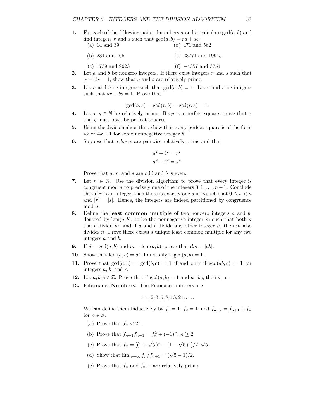**1.** For each of the following pairs of numbers *a* and *b*, calculate gcd(*a, b*) and find integers *r* and *s* such that  $gcd(a, b) = ra + sb$ .

| $(a)$ 14 and 39     | (d) $471$ and $562$     |
|---------------------|-------------------------|
| (b) $234$ and $165$ | (e) $23771$ and $19945$ |

- 
- (c) 1739 and 9923 (f) −4357 and 3754
- **2.** Let *a* and *b* be nonzero integers. If there exist integers *r* and *s* such that  $ar + bs = 1$ , show that *a* and *b* are relatively prime.
- **3.** Let *a* and *b* be integers such that  $gcd(a, b) = 1$ . Let *r* and *s* be integers such that  $ar + bs = 1$ . Prove that

$$
\gcd(a, s) = \gcd(r, b) = \gcd(r, s) = 1.
$$

- **4.** Let  $x, y \in \mathbb{N}$  be relatively prime. If  $xy$  is a perfect square, prove that x and *y* must both be perfect squares.
- **5.** Using the division algorithm, show that every perfect square is of the form  $4k$  or  $4k + 1$  for some nonnegative integer *k*.
- **6.** Suppose that *a, b, r, s* are pairwise relatively prime and that

$$
a2 + b2 = r2
$$

$$
a2 - b2 = s2.
$$

Prove that *a*, *r*, and *s* are odd and *b* is even.

- **7.** Let  $n \in \mathbb{N}$ . Use the division algorithm to prove that every integer is congruent mod *n* to precisely one of the integers  $0, 1, \ldots, n-1$ . Conclude that if *r* is an integer, then there is exactly one *s* in  $\mathbb{Z}$  such that  $0 \leq s < n$ and  $[r] = [s]$ . Hence, the integers are indeed partitioned by congruence mod *n*.
- **8.** Define the **least common multiple** of two nonzero integers *a* and *b*, denoted by  $\text{lcm}(a, b)$ , to be the nonnegative integer *m* such that both *a* and *b* divide *m*, and if *a* and *b* divide any other integer *n*, then *m* also divides *n*. Prove there exists a unique least common multiple for any two integers *a* and *b*.
- **9.** If  $d = \gcd(a, b)$  and  $m = \text{lcm}(a, b)$ , prove that  $dm = |ab|$ .
- **10.** Show that  $lcm(a, b) = ab$  if and only if  $gcd(a, b) = 1$ .
- **11.** Prove that  $gcd(a, c) = gcd(b, c) = 1$  if and only if  $gcd(ab, c) = 1$  for integers *a*, *b*, and *c*.
- **12.** Let  $a, b, c \in \mathbb{Z}$ . Prove that if  $gcd(a, b) = 1$  and  $a \mid bc$ , then  $a \mid c$ .
- **13. Fibonacci Numbers.** The Fibonacci numbers are

$$
1, 1, 2, 3, 5, 8, 13, 21, \ldots
$$

We can define them inductively by  $f_1 = 1$ ,  $f_2 = 1$ , and  $f_{n+2} = f_{n+1} + f_n$ for  $n \in \mathbb{N}$ .

- (a) Prove that  $f_n < 2^n$ .
- (b) Prove that  $f_{n+1}f_{n-1} = f_n^2 + (-1)^n$ ,  $n \ge 2$ .
- (c) Prove that  $f_n = [(1 + \sqrt{5})^n (1 \sqrt{5})^n]/2^n \sqrt{3}$ 5.
- (d) Show that  $\lim_{n\to\infty} f_n/f_{n+1} = (\sqrt{5}-1)/2$ .
- (e) Prove that  $f_n$  and  $f_{n+1}$  are relatively prime.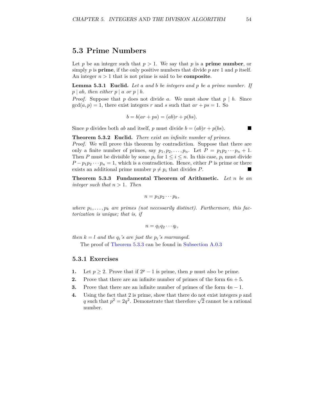## <span id="page-60-2"></span>**5.3 Prime Numbers**

Let *p* be an integer such that  $p > 1$ . We say that *p* is a **prime number**, or simply *p* is **prime**, if the only positive numbers that divide *p* are 1 and *p* itself. An integer  $n > 1$  that is not prime is said to be **composite**.

<span id="page-60-1"></span>**Lemma 5.3.1 Euclid.** *Let a and b be integers and p be a prime number. If*  $p \mid ab$ *, then either*  $p \mid a$  *or*  $p \mid b$ *.* 

*Proof.* Suppose that *p* does not divide *a*. We must show that  $p \mid b$ . Since  $gcd(a, p) = 1$ , there exist integers *r* and *s* such that  $ar + ps = 1$ . So

$$
b = b(ar + ps) = (ab)r + p(bs).
$$

Since *p* divides both *ab* and itself, *p* must divide  $b = (ab)r + p(bs)$ .

**Theorem 5.3.2 Euclid.** *There exist an infinite number of primes.*

*Proof.* We will prove this theorem by contradiction. Suppose that there are only a finite number of primes, say  $p_1, p_2, \ldots, p_n$ . Let  $P = p_1 p_2 \cdots p_n + 1$ . Then *P* must be divisible by some  $p_i$  for  $1 \leq i \leq n$ . In this case,  $p_i$  must divide  $P - p_1 p_2 \cdots p_n = 1$ , which is a contradiction. Hence, either *P* is prime or there exists an additional prime number  $p \neq p_i$  that divides *P*.

<span id="page-60-0"></span>**Theorem 5.3.3 Fundamental Theorem of Arithmetic.** *Let n be an integer such that n >* 1*. Then*

$$
n=p_1p_2\cdots p_k,
$$

where  $p_1, \ldots, p_k$  are primes (not necessarily distinct). Furthermore, this fac*torization is unique; that is, if*

$$
n=q_1q_2\cdots q_l,
$$

*then*  $k = l$  *and the*  $q_i$ *'s are just the*  $p_i$ *'s rearranged.* 

The proof of [Theorem](#page-60-0) [5.3.3](#page-60-0) can be found in [Subsection](#page-61-1) [A.0.3](#page-61-1)

### **5.3.1 Exercises**

- **1.** Let  $p \ge 2$ . Prove that if  $2^p 1$  is prime, then *p* must also be prime.
- **2.** Prove that there are an infinite number of primes of the form  $6n + 5$ .
- **3.** Prove that there are an infinite number of primes of the form 4*n* − 1.
- **4.** Using the fact that 2 is prime, show that there do not exist integers *p* and Using the fact that *z* is prime, show that there do not exist integers *p* and *q* such that  $p^2 = 2q^2$ . Demonstrate that therefore  $\sqrt{2}$  cannot be a rational number.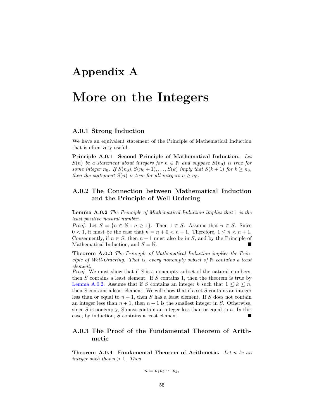# <span id="page-61-3"></span>**Appendix A**

# **More on the Integers**

### **A.0.1 Strong Induction**

We have an equivalent statement of the Principle of Mathematical Induction that is often very useful.

**Principle A.0.1 Second Principle of Mathematical Induction.** *Let S*(*n*) *be a statement about integers for*  $n \in \mathbb{N}$  *and suppose*  $S(n_0)$  *is true for some integer*  $n_0$ *. If*  $S(n_0), S(n_0 + 1), \ldots, S(k)$  *imply that*  $S(k + 1)$  *for*  $k \geq n_0$ *, then the statement*  $S(n)$  *is true for all integers*  $n \geq n_0$ *.* 

## <span id="page-61-0"></span>**A.0.2 The Connection between Mathematical Induction and the Principle of Well Ordering**

<span id="page-61-2"></span>**Lemma A.0.2** *The Principle of Mathematical Induction implies that* 1 *is the least positive natural number.*

*Proof.* Let  $S = \{n \in \mathbb{N} : n \ge 1\}$ . Then  $1 \in S$ . Assume that  $n \in S$ . Since  $0 < 1$ , it must be the case that  $n = n + 0 < n + 1$ . Therefore,  $1 \leq n < n + 1$ . Consequently, if  $n \in S$ , then  $n+1$  must also be in *S*, and by the Principle of Mathematical Induction, and  $S = N$ .

**Theorem A.0.3** *The Principle of Mathematical Induction implies the Principle of Well-Ordering. That is, every nonempty subset of* N *contains a least element.*

*Proof.* We must show that if *S* is a nonempty subset of the natural numbers, then *S* contains a least element. If *S* contains 1, then the theorem is true by [Lemma](#page-61-2) [A.0.2.](#page-61-2) Assume that if *S* contains an integer *k* such that  $1 \leq k \leq n$ , then *S* contains a least element. We will show that if a set *S* contains an integer less than or equal to  $n + 1$ , then *S* has a least element. If *S* does not contain an integer less than  $n + 1$ , then  $n + 1$  is the smallest integer in *S*. Otherwise, since *S* is nonempty, *S* must contain an integer less than or equal to *n*. In this case, by induction, *S* contains a least element.

## <span id="page-61-1"></span>**A.0.3 The Proof of the Fundamental Theorem of Arithmetic**

**Theorem A.0.4 Fundamental Theorem of Arithmetic.** *Let n be an integer such that*  $n > 1$ *. Then* 

$$
n=p_1p_2\cdots p_k,
$$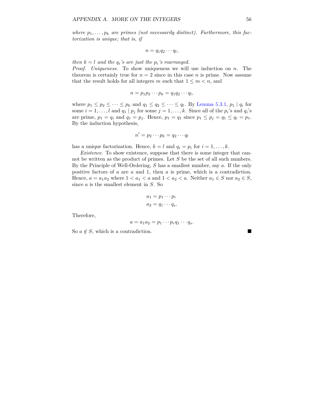where  $p_1, \ldots, p_k$  are primes (not necessarily distinct). Furthermore, this fac*torization is unique; that is, if*

$$
n=q_1q_2\cdots q_l,
$$

*then*  $k = l$  *and the*  $q_i$ *'s are just the*  $p_i$ *'s rearranged.* 

*Proof. Uniqueness.* To show uniqueness we will use induction on *n*. The theorem is certainly true for  $n = 2$  since in this case *n* is prime. Now assume that the result holds for all integers *m* such that  $1 \leq m < n$ , and

$$
n=p_1p_2\cdots p_k=q_1q_2\cdots q_l,
$$

where  $p_1 \leq p_2 \leq \cdots \leq p_k$  and  $q_1 \leq q_2 \leq \cdots \leq q_l$ . By [Lemma](#page-60-1) [5.3.1,](#page-60-1)  $p_1 | q_i$  for some  $i = 1, \ldots, l$  and  $q_1 | p_j$  for some  $j = 1, \ldots, k$ . Since all of the  $p_i$ 's and  $q_i$ 's are prime,  $p_1 = q_i$  and  $q_1 = p_j$ . Hence,  $p_1 = q_1$  since  $p_1 \leq p_j = q_1 \leq q_i = p_1$ . By the induction hypothesis,

$$
n'=p_2\cdots p_k=q_2\cdots q_l
$$

has a unique factorization. Hence,  $k = l$  and  $q_i = p_i$  for  $i = 1, ..., k$ .

*Existence.* To show existence, suppose that there is some integer that cannot be written as the product of primes. Let *S* be the set of all such numbers. By the Principle of Well-Ordering, *S* has a smallest number, say *a*. If the only positive factors of *a* are *a* and 1, then *a* is prime, which is a contradiction. Hence,  $a = a_1 a_2$  where  $1 < a_1 < a$  and  $1 < a_2 < a$ . Neither  $a_1 \in S$  nor  $a_2 \in S$ , since *a* is the smallest element in *S*. So

$$
a_1 = p_1 \cdots p_r
$$
  

$$
a_2 = q_1 \cdots q_s.
$$

Therefore,

$$
a = a_1 a_2 = p_1 \cdots p_r q_1 \cdots q_s.
$$

So  $a \notin S$ , which is a contradiction.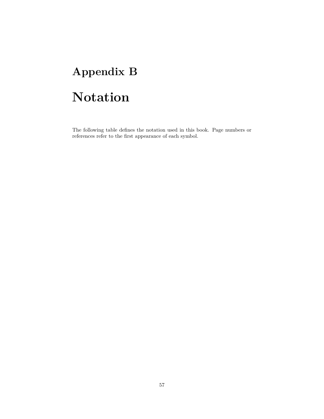# **Appendix B**

# **Notation**

The following table defines the notation used in this book. Page numbers or references refer to the first appearance of each symbol.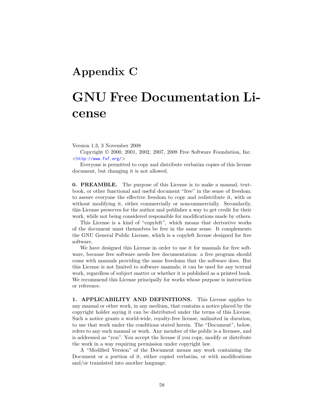# **Appendix C**

# **GNU Free Documentation License**

Version 1.3, 3 November 2008

Copyright © 2000, 2001, 2002, 2007, 2008 Free Software Foundation, Inc. <<http://www.fsf.org/>>

Everyone is permitted to copy and distribute verbatim copies of this license document, but changing it is not allowed.

**0. PREAMBLE.** The purpose of this License is to make a manual, textbook, or other functional and useful document "free" in the sense of freedom: to assure everyone the effective freedom to copy and redistribute it, with or without modifying it, either commercially or noncommercially. Secondarily, this License preserves for the author and publisher a way to get credit for their work, while not being considered responsible for modifications made by others.

This License is a kind of "copyleft", which means that derivative works of the document must themselves be free in the same sense. It complements the GNU General Public License, which is a copyleft license designed for free software.

We have designed this License in order to use it for manuals for free software, because free software needs free documentation: a free program should come with manuals providing the same freedoms that the software does. But this License is not limited to software manuals; it can be used for any textual work, regardless of subject matter or whether it is published as a printed book. We recommend this License principally for works whose purpose is instruction or reference.

**1. APPLICABILITY AND DEFINITIONS.** This License applies to any manual or other work, in any medium, that contains a notice placed by the copyright holder saying it can be distributed under the terms of this License. Such a notice grants a world-wide, royalty-free license, unlimited in duration, to use that work under the conditions stated herein. The "Document", below, refers to any such manual or work. Any member of the public is a licensee, and is addressed as "you". You accept the license if you copy, modify or distribute the work in a way requiring permission under copyright law.

A "Modified Version" of the Document means any work containing the Document or a portion of it, either copied verbatim, or with modifications and/or translated into another language.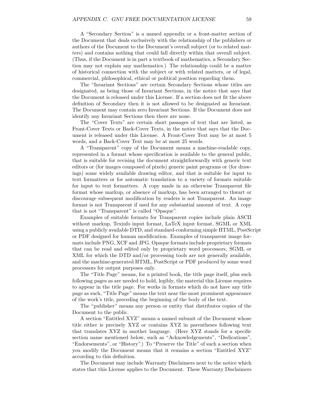A "Secondary Section" is a named appendix or a front-matter section of the Document that deals exclusively with the relationship of the publishers or authors of the Document to the Document's overall subject (or to related matters) and contains nothing that could fall directly within that overall subject. (Thus, if the Document is in part a textbook of mathematics, a Secondary Section may not explain any mathematics.) The relationship could be a matter of historical connection with the subject or with related matters, or of legal, commercial, philosophical, ethical or political position regarding them.

The "Invariant Sections" are certain Secondary Sections whose titles are designated, as being those of Invariant Sections, in the notice that says that the Document is released under this License. If a section does not fit the above definition of Secondary then it is not allowed to be designated as Invariant. The Document may contain zero Invariant Sections. If the Document does not identify any Invariant Sections then there are none.

The "Cover Texts" are certain short passages of text that are listed, as Front-Cover Texts or Back-Cover Texts, in the notice that says that the Document is released under this License. A Front-Cover Text may be at most 5 words, and a Back-Cover Text may be at most 25 words.

A "Transparent" copy of the Document means a machine-readable copy, represented in a format whose specification is available to the general public, that is suitable for revising the document straightforwardly with generic text editors or (for images composed of pixels) generic paint programs or (for drawings) some widely available drawing editor, and that is suitable for input to text formatters or for automatic translation to a variety of formats suitable for input to text formatters. A copy made in an otherwise Transparent file format whose markup, or absence of markup, has been arranged to thwart or discourage subsequent modification by readers is not Transparent. An image format is not Transparent if used for any substantial amount of text. A copy that is not "Transparent" is called "Opaque".

Examples of suitable formats for Transparent copies include plain ASCII without markup, Texinfo input format, LaTeX input format, SGML or XML using a publicly available DTD, and standard-conforming simple HTML, PostScript or PDF designed for human modification. Examples of transparent image formats include PNG, XCF and JPG. Opaque formats include proprietary formats that can be read and edited only by proprietary word processors, SGML or XML for which the DTD and/or processing tools are not generally available, and the machine-generated HTML, PostScript or PDF produced by some word processors for output purposes only.

The "Title Page" means, for a printed book, the title page itself, plus such following pages as are needed to hold, legibly, the material this License requires to appear in the title page. For works in formats which do not have any title page as such, "Title Page" means the text near the most prominent appearance of the work's title, preceding the beginning of the body of the text.

The "publisher" means any person or entity that distributes copies of the Document to the public.

A section "Entitled XYZ" means a named subunit of the Document whose title either is precisely XYZ or contains XYZ in parentheses following text that translates XYZ in another language. (Here XYZ stands for a specific section name mentioned below, such as "Acknowledgements", "Dedications", "Endorsements", or "History".) To "Preserve the Title" of such a section when you modify the Document means that it remains a section "Entitled XYZ" according to this definition.

The Document may include Warranty Disclaimers next to the notice which states that this License applies to the Document. These Warranty Disclaimers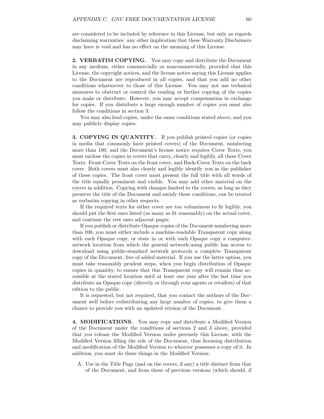are considered to be included by reference in this License, but only as regards disclaiming warranties: any other implication that these Warranty Disclaimers may have is void and has no effect on the meaning of this License.

**2. VERBATIM COPYING.** You may copy and distribute the Document in any medium, either commercially or noncommercially, provided that this License, the copyright notices, and the license notice saying this License applies to the Document are reproduced in all copies, and that you add no other conditions whatsoever to those of this License. You may not use technical measures to obstruct or control the reading or further copying of the copies you make or distribute. However, you may accept compensation in exchange for copies. If you distribute a large enough number of copies you must also follow the conditions in section 3.

You may also lend copies, under the same conditions stated above, and you may publicly display copies.

**3. COPYING IN QUANTITY.** If you publish printed copies (or copies in media that commonly have printed covers) of the Document, numbering more than 100, and the Document's license notice requires Cover Texts, you must enclose the copies in covers that carry, clearly and legibly, all these Cover Texts: Front-Cover Texts on the front cover, and Back-Cover Texts on the back cover. Both covers must also clearly and legibly identify you as the publisher of these copies. The front cover must present the full title with all words of the title equally prominent and visible. You may add other material on the covers in addition. Copying with changes limited to the covers, as long as they preserve the title of the Document and satisfy these conditions, can be treated as verbatim copying in other respects.

If the required texts for either cover are too voluminous to fit legibly, you should put the first ones listed (as many as fit reasonably) on the actual cover, and continue the rest onto adjacent pages.

If you publish or distribute Opaque copies of the Document numbering more than 100, you must either include a machine-readable Transparent copy along with each Opaque copy, or state in or with each Opaque copy a computernetwork location from which the general network-using public has access to download using public-standard network protocols a complete Transparent copy of the Document, free of added material. If you use the latter option, you must take reasonably prudent steps, when you begin distribution of Opaque copies in quantity, to ensure that this Transparent copy will remain thus accessible at the stated location until at least one year after the last time you distribute an Opaque copy (directly or through your agents or retailers) of that edition to the public.

It is requested, but not required, that you contact the authors of the Document well before redistributing any large number of copies, to give them a chance to provide you with an updated version of the Document.

**4. MODIFICATIONS.** You may copy and distribute a Modified Version of the Document under the conditions of sections 2 and 3 above, provided that you release the Modified Version under precisely this License, with the Modified Version filling the role of the Document, thus licensing distribution and modification of the Modified Version to whoever possesses a copy of it. In addition, you must do these things in the Modified Version:

A. Use in the Title Page (and on the covers, if any) a title distinct from that of the Document, and from those of previous versions (which should, if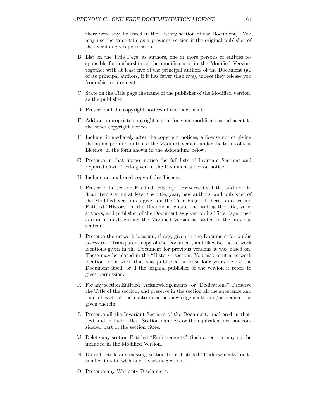there were any, be listed in the History section of the Document). You may use the same title as a previous version if the original publisher of that version gives permission.

- B. List on the Title Page, as authors, one or more persons or entities responsible for authorship of the modifications in the Modified Version, together with at least five of the principal authors of the Document (all of its principal authors, if it has fewer than five), unless they release you from this requirement.
- C. State on the Title page the name of the publisher of the Modified Version, as the publisher.
- D. Preserve all the copyright notices of the Document.
- E. Add an appropriate copyright notice for your modifications adjacent to the other copyright notices.
- F. Include, immediately after the copyright notices, a license notice giving the public permission to use the Modified Version under the terms of this License, in the form shown in the Addendum below.
- G. Preserve in that license notice the full lists of Invariant Sections and required Cover Texts given in the Document's license notice.
- H. Include an unaltered copy of this License.
- I. Preserve the section Entitled "History", Preserve its Title, and add to it an item stating at least the title, year, new authors, and publisher of the Modified Version as given on the Title Page. If there is no section Entitled "History" in the Document, create one stating the title, year, authors, and publisher of the Document as given on its Title Page, then add an item describing the Modified Version as stated in the previous sentence.
- J. Preserve the network location, if any, given in the Document for public access to a Transparent copy of the Document, and likewise the network locations given in the Document for previous versions it was based on. These may be placed in the "History" section. You may omit a network location for a work that was published at least four years before the Document itself, or if the original publisher of the version it refers to gives permission.
- K. For any section Entitled "Acknowledgements" or "Dedications", Preserve the Title of the section, and preserve in the section all the substance and tone of each of the contributor acknowledgements and/or dedications given therein.
- L. Preserve all the Invariant Sections of the Document, unaltered in their text and in their titles. Section numbers or the equivalent are not considered part of the section titles.
- M. Delete any section Entitled "Endorsements". Such a section may not be included in the Modified Version.
- N. Do not retitle any existing section to be Entitled "Endorsements" or to conflict in title with any Invariant Section.
- O. Preserve any Warranty Disclaimers.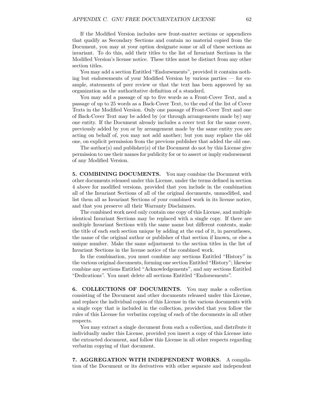If the Modified Version includes new front-matter sections or appendices that qualify as Secondary Sections and contain no material copied from the Document, you may at your option designate some or all of these sections as invariant. To do this, add their titles to the list of Invariant Sections in the Modified Version's license notice. These titles must be distinct from any other section titles.

You may add a section Entitled "Endorsements", provided it contains nothing but endorsements of your Modified Version by various parties — for example, statements of peer review or that the text has been approved by an organization as the authoritative definition of a standard.

You may add a passage of up to five words as a Front-Cover Text, and a passage of up to 25 words as a Back-Cover Text, to the end of the list of Cover Texts in the Modified Version. Only one passage of Front-Cover Text and one of Back-Cover Text may be added by (or through arrangements made by) any one entity. If the Document already includes a cover text for the same cover, previously added by you or by arrangement made by the same entity you are acting on behalf of, you may not add another; but you may replace the old one, on explicit permission from the previous publisher that added the old one.

The author(s) and publisher(s) of the Document do not by this License give permission to use their names for publicity for or to assert or imply endorsement of any Modified Version.

**5. COMBINING DOCUMENTS.** You may combine the Document with other documents released under this License, under the terms defined in section 4 above for modified versions, provided that you include in the combination all of the Invariant Sections of all of the original documents, unmodified, and list them all as Invariant Sections of your combined work in its license notice, and that you preserve all their Warranty Disclaimers.

The combined work need only contain one copy of this License, and multiple identical Invariant Sections may be replaced with a single copy. If there are multiple Invariant Sections with the same name but different contents, make the title of each such section unique by adding at the end of it, in parentheses, the name of the original author or publisher of that section if known, or else a unique number. Make the same adjustment to the section titles in the list of Invariant Sections in the license notice of the combined work.

In the combination, you must combine any sections Entitled "History" in the various original documents, forming one section Entitled "History"; likewise combine any sections Entitled "Acknowledgements", and any sections Entitled "Dedications". You must delete all sections Entitled "Endorsements".

**6. COLLECTIONS OF DOCUMENTS.** You may make a collection consisting of the Document and other documents released under this License, and replace the individual copies of this License in the various documents with a single copy that is included in the collection, provided that you follow the rules of this License for verbatim copying of each of the documents in all other respects.

You may extract a single document from such a collection, and distribute it individually under this License, provided you insert a copy of this License into the extracted document, and follow this License in all other respects regarding verbatim copying of that document.

**7. AGGREGATION WITH INDEPENDENT WORKS.** A compilation of the Document or its derivatives with other separate and independent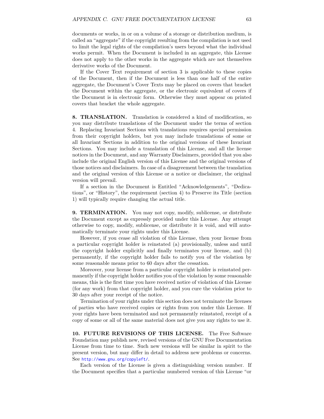documents or works, in or on a volume of a storage or distribution medium, is called an "aggregate" if the copyright resulting from the compilation is not used to limit the legal rights of the compilation's users beyond what the individual works permit. When the Document is included in an aggregate, this License does not apply to the other works in the aggregate which are not themselves derivative works of the Document.

If the Cover Text requirement of section 3 is applicable to these copies of the Document, then if the Document is less than one half of the entire aggregate, the Document's Cover Texts may be placed on covers that bracket the Document within the aggregate, or the electronic equivalent of covers if the Document is in electronic form. Otherwise they must appear on printed covers that bracket the whole aggregate.

**8. TRANSLATION.** Translation is considered a kind of modification, so you may distribute translations of the Document under the terms of section 4. Replacing Invariant Sections with translations requires special permission from their copyright holders, but you may include translations of some or all Invariant Sections in addition to the original versions of these Invariant Sections. You may include a translation of this License, and all the license notices in the Document, and any Warranty Disclaimers, provided that you also include the original English version of this License and the original versions of those notices and disclaimers. In case of a disagreement between the translation and the original version of this License or a notice or disclaimer, the original version will prevail.

If a section in the Document is Entitled "Acknowledgements", "Dedications", or "History", the requirement (section 4) to Preserve its Title (section 1) will typically require changing the actual title.

**9. TERMINATION.** You may not copy, modify, sublicense, or distribute the Document except as expressly provided under this License. Any attempt otherwise to copy, modify, sublicense, or distribute it is void, and will automatically terminate your rights under this License.

However, if you cease all violation of this License, then your license from a particular copyright holder is reinstated (a) provisionally, unless and until the copyright holder explicitly and finally terminates your license, and (b) permanently, if the copyright holder fails to notify you of the violation by some reasonable means prior to 60 days after the cessation.

Moreover, your license from a particular copyright holder is reinstated permanently if the copyright holder notifies you of the violation by some reasonable means, this is the first time you have received notice of violation of this License (for any work) from that copyright holder, and you cure the violation prior to 30 days after your receipt of the notice.

Termination of your rights under this section does not terminate the licenses of parties who have received copies or rights from you under this License. If your rights have been terminated and not permanently reinstated, receipt of a copy of some or all of the same material does not give you any rights to use it.

**10. FUTURE REVISIONS OF THIS LICENSE.** The Free Software Foundation may publish new, revised versions of the GNU Free Documentation License from time to time. Such new versions will be similar in spirit to the present version, but may differ in detail to address new problems or concerns. See <http://www.gnu.org/copyleft/>.

Each version of the License is given a distinguishing version number. If the Document specifies that a particular numbered version of this License "or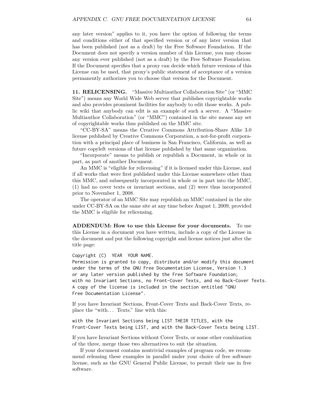any later version" applies to it, you have the option of following the terms and conditions either of that specified version or of any later version that has been published (not as a draft) by the Free Software Foundation. If the Document does not specify a version number of this License, you may choose any version ever published (not as a draft) by the Free Software Foundation. If the Document specifies that a proxy can decide which future versions of this License can be used, that proxy's public statement of acceptance of a version permanently authorizes you to choose that version for the Document.

**11. RELICENSING.** "Massive Multiauthor Collaboration Site" (or "MMC Site") means any World Wide Web server that publishes copyrightable works and also provides prominent facilities for anybody to edit those works. A public wiki that anybody can edit is an example of such a server. A "Massive Multiauthor Collaboration" (or "MMC") contained in the site means any set of copyrightable works thus published on the MMC site.

"CC-BY-SA" means the Creative Commons Attribution-Share Alike 3.0 license published by Creative Commons Corporation, a not-for-profit corporation with a principal place of business in San Francisco, California, as well as future copyleft versions of that license published by that same organization.

"Incorporate" means to publish or republish a Document, in whole or in part, as part of another Document.

An MMC is "eligible for relicensing" if it is licensed under this License, and if all works that were first published under this License somewhere other than this MMC, and subsequently incorporated in whole or in part into the MMC, (1) had no cover texts or invariant sections, and (2) were thus incorporated prior to November 1, 2008.

The operator of an MMC Site may republish an MMC contained in the site under CC-BY-SA on the same site at any time before August 1, 2009, provided the MMC is eligible for relicensing.

**ADDENDUM: How to use this License for your documents.** To use this License in a document you have written, include a copy of the License in the document and put the following copyright and license notices just after the title page:

Copyright (C) YEAR YOUR NAME.

Permission is granted to copy, distribute and/or modify this document under the terms of the GNU Free Documentation License, Version 1.3 or any later version published by the Free Software Foundation; with no Invariant Sections, no Front-Cover Texts, and no Back-Cover Texts. A copy of the license is included in the section entitled "GNU Free Documentation License".

If you have Invariant Sections, Front-Cover Texts and Back-Cover Texts, replace the "with. . . Texts." line with this:

with the Invariant Sections being LIST THEIR TITLES, with the Front-Cover Texts being LIST, and with the Back-Cover Texts being LIST.

If you have Invariant Sections without Cover Texts, or some other combination of the three, merge those two alternatives to suit the situation.

If your document contains nontrivial examples of program code, we recommend releasing these examples in parallel under your choice of free software license, such as the GNU General Public License, to permit their use in free software.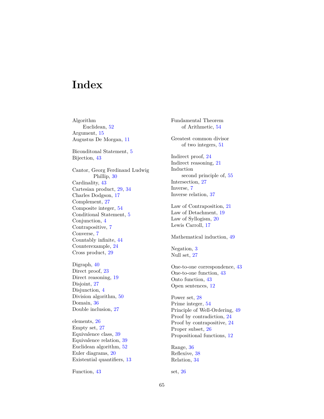# **Index**

Algorithm Euclidean, [52](#page-58-0) Argument, [15](#page-21-0) Augustus De Morgan, [11](#page-17-0)

Biconditonal Statement, [5](#page-11-0) Bijection, [43](#page-49-0)

Cantor, Georg Ferdinand Ludwig Phillip, [30](#page-36-2) Cardinality, [43](#page-49-0) Cartesian product, [29,](#page-35-1) [34](#page-40-2) Charles Dodgson, [17](#page-23-0) Complement, [27](#page-33-0) Composite integer, [54](#page-60-2) Conditional Statement, [5](#page-11-0) Conjunction, [4](#page-10-0) Contrapositive, [7](#page-13-0) Converse, [7](#page-13-0) Countably infinite, [44](#page-50-0) Counterexample, [24](#page-30-0) Cross product, [29](#page-35-1)

Digraph, [40](#page-46-1) Direct proof, [23](#page-29-0) Direct reasoning, [19](#page-25-0) Disjoint, [27](#page-33-0) Disjunction, [4](#page-10-0) Division algorithm, [50](#page-56-0) Domain, [36](#page-42-2) Double inclusion, [27](#page-33-0)

elements, [26](#page-32-0) Empty set, [27](#page-33-0) Equivalence class, [39](#page-45-4) Equivalence relation, [39](#page-45-4) Euclidean algorithm, [52](#page-58-0) Euler diagrams, [20](#page-26-0) Existential quantifiers, [13](#page-19-0)

Function, [43](#page-49-0)

Fundamental Theorem of Arithmetic, [54](#page-60-2) Greatest common divisor of two integers, [51](#page-57-1) Indirect proof, [24](#page-30-0) Indirect reasoning, [21](#page-27-0) Induction second principle of, [55](#page-61-3) Intersection, [27](#page-33-0) Inverse, [7](#page-13-0) Inverse relation, [37](#page-43-2) Law of Contraposition, [21](#page-27-0) Law of Detachment, [19](#page-25-0) Law of Syllogism, [20](#page-26-0) Lewis Carroll, [17](#page-23-0) Mathematical induction, [49](#page-55-1) Negation, [3](#page-9-0) Null set, [27](#page-33-0) One-to-one correspondence, [43](#page-49-0) One-to-one function, [43](#page-49-0) Onto function, [43](#page-49-0) Open sentences, [12](#page-18-0) Power set, [28](#page-34-0) Prime integer, [54](#page-60-2) Principle of Well-Ordering, [49](#page-55-1) Proof by contradiction, [24](#page-30-0) Proof by contrapositive, [24](#page-30-0) Proper subset, [26](#page-32-0) Propositional functions, [12](#page-18-0) Range, [36](#page-42-2) Reflexive, [38](#page-44-0) Relation, [34](#page-40-2)

set, [26](#page-32-0)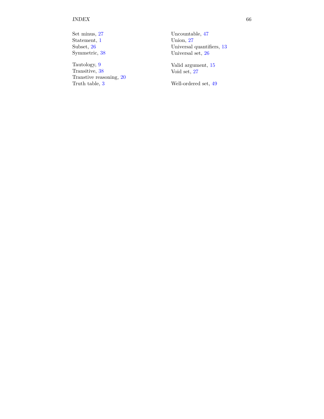## INDEX 66

Set minus, [27](#page-33-0) Statement, [1](#page-7-0) Subset, [26](#page-32-0) Symmetric, [38](#page-44-0)

Tautology, [9](#page-15-0) Transitive, [38](#page-44-0) Transtive reasoning, [20](#page-26-0) Truth table, [3](#page-9-0)

Uncountable, [47](#page-53-0) Union, [27](#page-33-0) Universal quantifiers, [13](#page-19-0) Universal set, [26](#page-32-0)

Valid argument, [15](#page-21-0) Void set, [27](#page-33-0)

Well-ordered set, [49](#page-55-0)